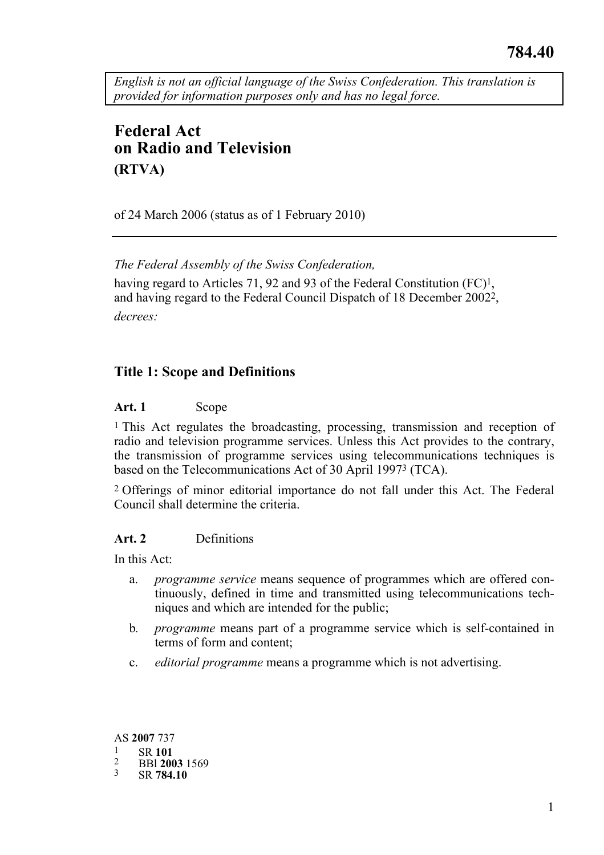*English is not an official language of the Swiss Confederation. This translation is provided for information purposes only and has no legal force.* 

# **Federal Act on Radio and Television (RTVA)**

of 24 March 2006 (status as of 1 February 2010)

*The Federal Assembly of the Swiss Confederation,* 

having regard to Articles 71, 92 and 93 of the Federal Constitution (FC)<sup>1</sup>, and having regard to the Federal Council Dispatch of 18 December 20022, *decrees:* 

# **Title 1: Scope and Definitions**

### **Art. 1** Scope

<sup>1</sup> This Act regulates the broadcasting, processing, transmission and reception of radio and television programme services. Unless this Act provides to the contrary, the transmission of programme services using telecommunications techniques is based on the Telecommunications Act of 30 April 19973 (TCA).

2 Offerings of minor editorial importance do not fall under this Act. The Federal Council shall determine the criteria.

# **Art. 2** Definitions

In this Act:

- a. *programme service* means sequence of programmes which are offered continuously, defined in time and transmitted using telecommunications techniques and which are intended for the public;
- b*. programme* means part of a programme service which is self-contained in terms of form and content;
- c. *editorial programme* means a programme which is not advertising.

AS **2007** 737 1 SR **<sup>101</sup>** 2 BBl **2003** 1569 3 SR **784.10**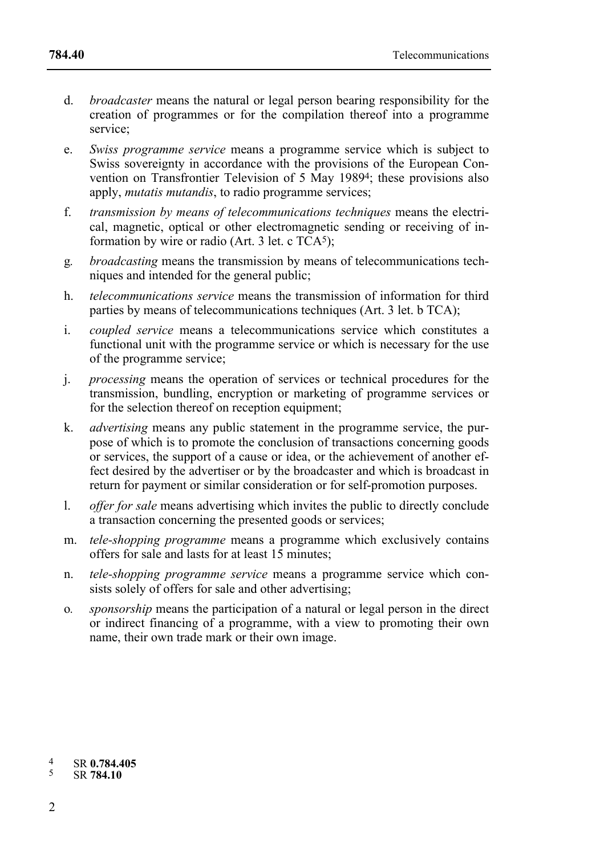- d. *broadcaster* means the natural or legal person bearing responsibility for the creation of programmes or for the compilation thereof into a programme service;
- e. *Swiss programme service* means a programme service which is subject to Swiss sovereignty in accordance with the provisions of the European Convention on Transfrontier Television of 5 May 19894; these provisions also apply, *mutatis mutandis*, to radio programme services;
- f. *transmission by means of telecommunications techniques* means the electrical, magnetic, optical or other electromagnetic sending or receiving of information by wire or radio (Art. 3 let. c  $TCA<sup>5</sup>$ );
- g*. broadcasting* means the transmission by means of telecommunications techniques and intended for the general public;
- h. *telecommunications service* means the transmission of information for third parties by means of telecommunications techniques (Art. 3 let. b TCA);
- i. *coupled service* means a telecommunications service which constitutes a functional unit with the programme service or which is necessary for the use of the programme service;
- j. *processing* means the operation of services or technical procedures for the transmission, bundling, encryption or marketing of programme services or for the selection thereof on reception equipment;
- k. *advertising* means any public statement in the programme service, the purpose of which is to promote the conclusion of transactions concerning goods or services, the support of a cause or idea, or the achievement of another effect desired by the advertiser or by the broadcaster and which is broadcast in return for payment or similar consideration or for self-promotion purposes.
- l. *offer for sale* means advertising which invites the public to directly conclude a transaction concerning the presented goods or services;
- m. *tele-shopping programme* means a programme which exclusively contains offers for sale and lasts for at least 15 minutes;
- n. *tele-shopping programme service* means a programme service which consists solely of offers for sale and other advertising;
- o*. sponsorship* means the participation of a natural or legal person in the direct or indirect financing of a programme, with a view to promoting their own name, their own trade mark or their own image.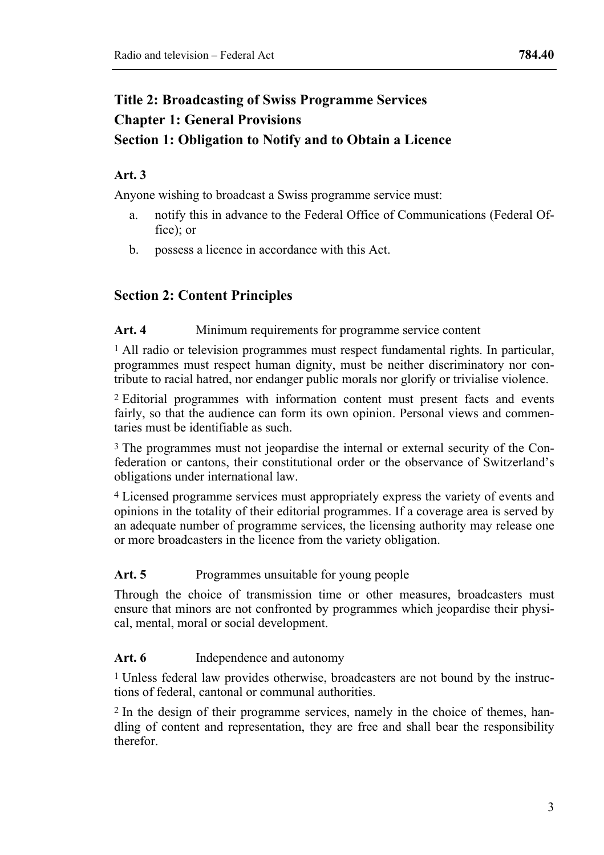# **Title 2: Broadcasting of Swiss Programme Services Chapter 1: General Provisions Section 1: Obligation to Notify and to Obtain a Licence**

# **Art. 3**

Anyone wishing to broadcast a Swiss programme service must:

- a. notify this in advance to the Federal Office of Communications (Federal Office); or
- b. possess a licence in accordance with this Act.

# **Section 2: Content Principles**

#### Art. 4 Minimum requirements for programme service content

1 All radio or television programmes must respect fundamental rights. In particular, programmes must respect human dignity, must be neither discriminatory nor contribute to racial hatred, nor endanger public morals nor glorify or trivialise violence.

2 Editorial programmes with information content must present facts and events fairly, so that the audience can form its own opinion. Personal views and commentaries must be identifiable as such.

<sup>3</sup> The programmes must not jeopardise the internal or external security of the Confederation or cantons, their constitutional order or the observance of Switzerland's obligations under international law.

4 Licensed programme services must appropriately express the variety of events and opinions in the totality of their editorial programmes. If a coverage area is served by an adequate number of programme services, the licensing authority may release one or more broadcasters in the licence from the variety obligation.

#### Art. 5 Programmes unsuitable for young people

Through the choice of transmission time or other measures, broadcasters must ensure that minors are not confronted by programmes which jeopardise their physical, mental, moral or social development.

#### Art. 6 Independence and autonomy

<sup>1</sup> Unless federal law provides otherwise, broadcasters are not bound by the instructions of federal, cantonal or communal authorities.

2 In the design of their programme services, namely in the choice of themes, handling of content and representation, they are free and shall bear the responsibility therefor.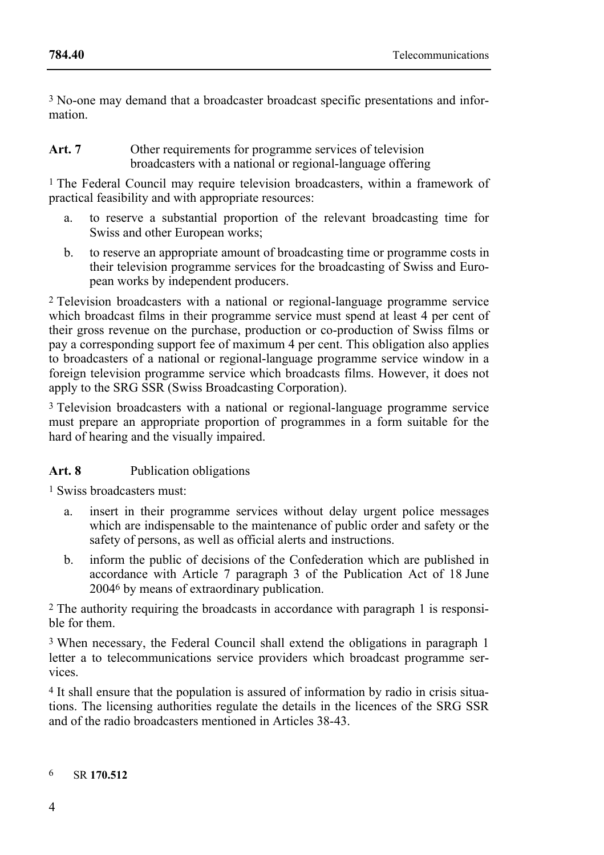3 No-one may demand that a broadcaster broadcast specific presentations and information.

#### Art. 7 Other requirements for programme services of television broadcasters with a national or regional-language offering

<sup>1</sup> The Federal Council may require television broadcasters, within a framework of practical feasibility and with appropriate resources:

- a. to reserve a substantial proportion of the relevant broadcasting time for Swiss and other European works:
- b. to reserve an appropriate amount of broadcasting time or programme costs in their television programme services for the broadcasting of Swiss and European works by independent producers.

2 Television broadcasters with a national or regional-language programme service which broadcast films in their programme service must spend at least 4 per cent of their gross revenue on the purchase, production or co-production of Swiss films or pay a corresponding support fee of maximum 4 per cent. This obligation also applies to broadcasters of a national or regional-language programme service window in a foreign television programme service which broadcasts films. However, it does not apply to the SRG SSR (Swiss Broadcasting Corporation).

3 Television broadcasters with a national or regional-language programme service must prepare an appropriate proportion of programmes in a form suitable for the hard of hearing and the visually impaired.

# Art. 8 Publication obligations

1 Swiss broadcasters must:

- a. insert in their programme services without delay urgent police messages which are indispensable to the maintenance of public order and safety or the safety of persons, as well as official alerts and instructions.
- b. inform the public of decisions of the Confederation which are published in accordance with Article 7 paragraph 3 of the Publication Act of 18 June 20046 by means of extraordinary publication.

2 The authority requiring the broadcasts in accordance with paragraph 1 is responsible for them.

3 When necessary, the Federal Council shall extend the obligations in paragraph 1 letter a to telecommunications service providers which broadcast programme services.

4 It shall ensure that the population is assured of information by radio in crisis situations. The licensing authorities regulate the details in the licences of the SRG SSR and of the radio broadcasters mentioned in Articles 38-43.

#### 6 SR **170.512**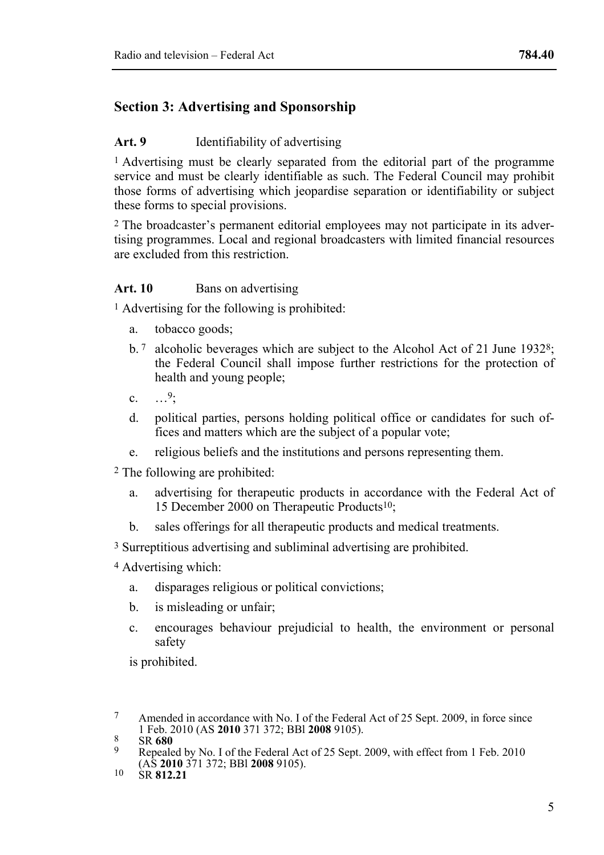# **Section 3: Advertising and Sponsorship**

#### **Art. 9** Identifiability of advertising

<sup>1</sup> Advertising must be clearly separated from the editorial part of the programme service and must be clearly identifiable as such. The Federal Council may prohibit those forms of advertising which jeopardise separation or identifiability or subject these forms to special provisions.

2 The broadcaster's permanent editorial employees may not participate in its advertising programmes. Local and regional broadcasters with limited financial resources are excluded from this restriction.

#### Art. 10 Bans on advertising

1 Advertising for the following is prohibited:

- a. tobacco goods;
- b.  $7$  alcoholic beverages which are subject to the Alcohol Act of 21 June 1932<sup>8</sup>; the Federal Council shall impose further restrictions for the protection of health and young people;
- c.  $\frac{9}{2}$
- d. political parties, persons holding political office or candidates for such offices and matters which are the subject of a popular vote;
- e. religious beliefs and the institutions and persons representing them.
- 2 The following are prohibited:
	- a. advertising for therapeutic products in accordance with the Federal Act of 15 December 2000 on Therapeutic Products10;
	- b. sales offerings for all therapeutic products and medical treatments.

3 Surreptitious advertising and subliminal advertising are prohibited.

- 4 Advertising which:
	- a. disparages religious or political convictions;
	- b. is misleading or unfair;
	- c. encourages behaviour prejudicial to health, the environment or personal safety

is prohibited.

 $\tau$ Amended in accordance with No. I of the Federal Act of 25 Sept. 2009, in force since 1 Feb. 2010 (AS 2010 371 372; BBI 2008 9105).

<sup>1</sup> Feb. 2010 (AS **2010** 371 372; BBL **2008** 3105).<br><sup>8</sup> Repealed by No. I of the Federal Act of 25 Sept. 2009, with effect from 1 Feb. 2010 (AS **2010** 371 372; BBl **2008** 9105). 10 SR **812.21**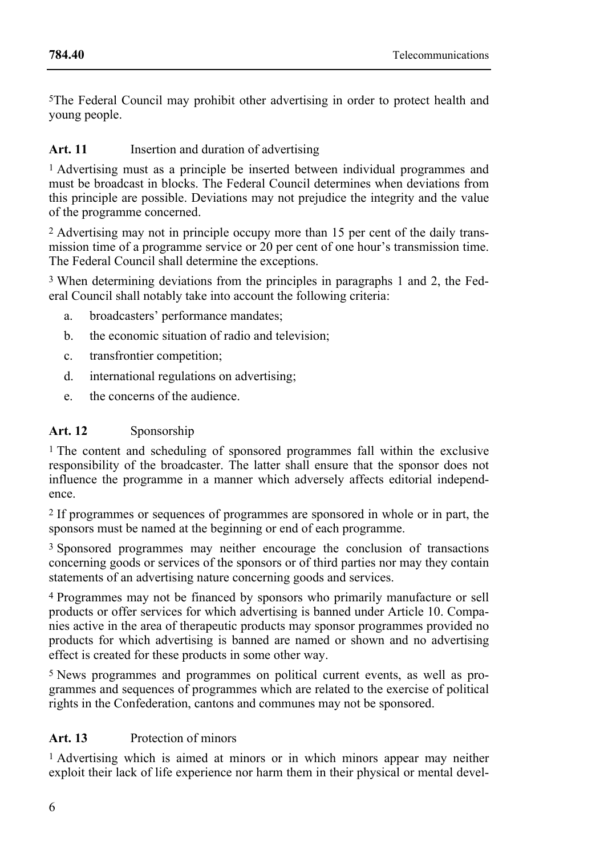5The Federal Council may prohibit other advertising in order to protect health and young people.

# Art. 11 **Insertion and duration of advertising**

1 Advertising must as a principle be inserted between individual programmes and must be broadcast in blocks. The Federal Council determines when deviations from this principle are possible. Deviations may not prejudice the integrity and the value of the programme concerned.

2 Advertising may not in principle occupy more than 15 per cent of the daily transmission time of a programme service or 20 per cent of one hour's transmission time. The Federal Council shall determine the exceptions.

3 When determining deviations from the principles in paragraphs 1 and 2, the Federal Council shall notably take into account the following criteria:

- a. broadcasters' performance mandates;
- b. the economic situation of radio and television;
- c. transfrontier competition;
- d. international regulations on advertising;
- e. the concerns of the audience.

# **Art. 12** Sponsorship

1 The content and scheduling of sponsored programmes fall within the exclusive responsibility of the broadcaster. The latter shall ensure that the sponsor does not influence the programme in a manner which adversely affects editorial independence.

2 If programmes or sequences of programmes are sponsored in whole or in part, the sponsors must be named at the beginning or end of each programme.

3 Sponsored programmes may neither encourage the conclusion of transactions concerning goods or services of the sponsors or of third parties nor may they contain statements of an advertising nature concerning goods and services.

4 Programmes may not be financed by sponsors who primarily manufacture or sell products or offer services for which advertising is banned under Article 10. Companies active in the area of therapeutic products may sponsor programmes provided no products for which advertising is banned are named or shown and no advertising effect is created for these products in some other way.

5 News programmes and programmes on political current events, as well as programmes and sequences of programmes which are related to the exercise of political rights in the Confederation, cantons and communes may not be sponsored.

# **Art. 13** Protection of minors

1 Advertising which is aimed at minors or in which minors appear may neither exploit their lack of life experience nor harm them in their physical or mental devel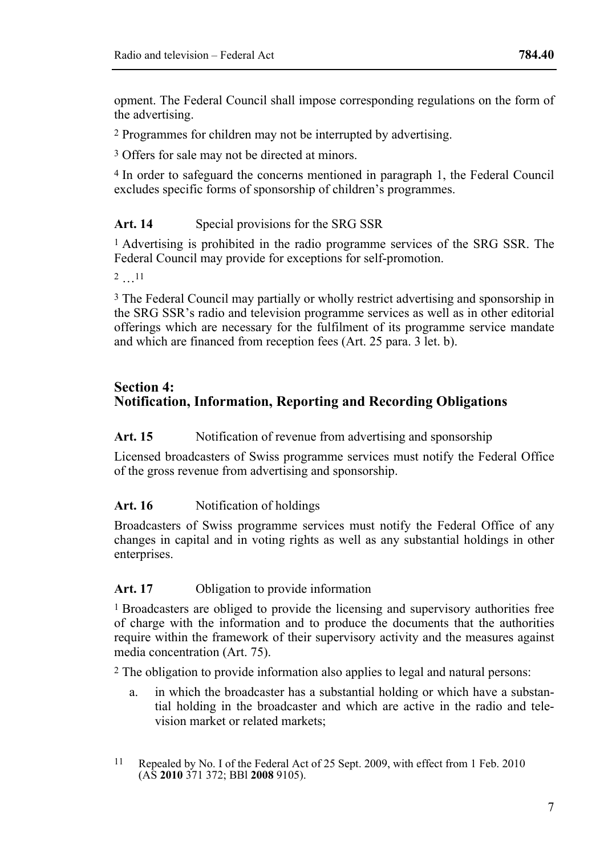opment. The Federal Council shall impose corresponding regulations on the form of the advertising.

2 Programmes for children may not be interrupted by advertising.

3 Offers for sale may not be directed at minors.

4 In order to safeguard the concerns mentioned in paragraph 1, the Federal Council excludes specific forms of sponsorship of children's programmes.

#### Art. 14 Special provisions for the SRG SSR

1 Advertising is prohibited in the radio programme services of the SRG SSR. The Federal Council may provide for exceptions for self-promotion.

2 …11

3 The Federal Council may partially or wholly restrict advertising and sponsorship in the SRG SSR's radio and television programme services as well as in other editorial offerings which are necessary for the fulfilment of its programme service mandate and which are financed from reception fees (Art. 25 para. 3 let. b).

### **Section 4: Notification, Information, Reporting and Recording Obligations**

#### Art. 15 Notification of revenue from advertising and sponsorship

Licensed broadcasters of Swiss programme services must notify the Federal Office of the gross revenue from advertising and sponsorship.

#### Art. 16 Notification of holdings

Broadcasters of Swiss programme services must notify the Federal Office of any changes in capital and in voting rights as well as any substantial holdings in other enterprises.

#### Art. 17 Obligation to provide information

1 Broadcasters are obliged to provide the licensing and supervisory authorities free of charge with the information and to produce the documents that the authorities require within the framework of their supervisory activity and the measures against media concentration (Art. 75).

2 The obligation to provide information also applies to legal and natural persons:

- a. in which the broadcaster has a substantial holding or which have a substantial holding in the broadcaster and which are active in the radio and television market or related markets;
- $11$ Repealed by No. I of the Federal Act of 25 Sept. 2009, with effect from 1 Feb. 2010 (AS **2010** 371 372; BBl **2008** 9105).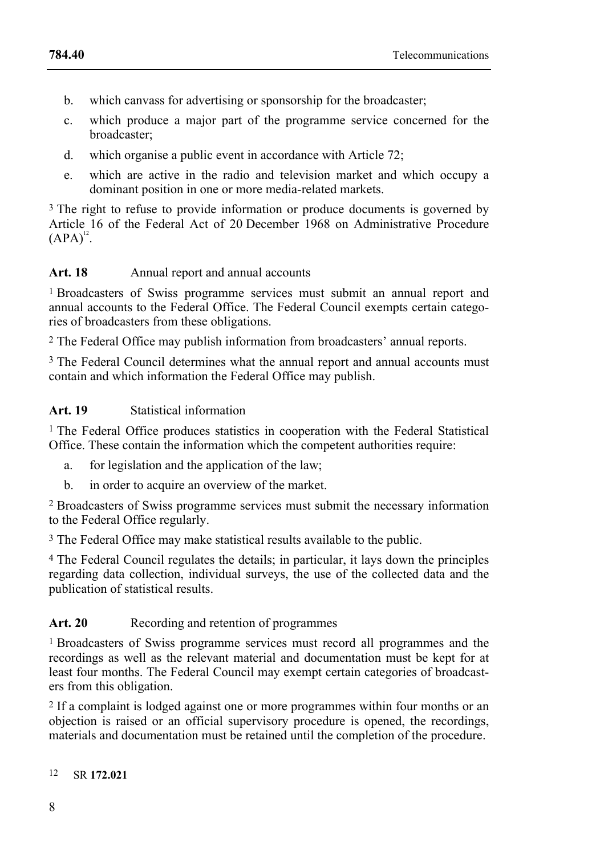- b. which canvass for advertising or sponsorship for the broadcaster;
- c. which produce a major part of the programme service concerned for the broadcaster;
- d. which organise a public event in accordance with Article 72;
- e. which are active in the radio and television market and which occupy a dominant position in one or more media-related markets.

<sup>3</sup> The right to refuse to provide information or produce documents is governed by Article 16 of the Federal Act of 20 December 1968 on Administrative Procedure  $(APA)^{12}$ .

### Art. 18 Annual report and annual accounts

1 Broadcasters of Swiss programme services must submit an annual report and annual accounts to the Federal Office. The Federal Council exempts certain categories of broadcasters from these obligations.

2 The Federal Office may publish information from broadcasters' annual reports.

<sup>3</sup> The Federal Council determines what the annual report and annual accounts must contain and which information the Federal Office may publish.

### **Art. 19** Statistical information

1 The Federal Office produces statistics in cooperation with the Federal Statistical Office. These contain the information which the competent authorities require:

- a. for legislation and the application of the law;
- b. in order to acquire an overview of the market.

2 Broadcasters of Swiss programme services must submit the necessary information to the Federal Office regularly.

<sup>3</sup> The Federal Office may make statistical results available to the public.

4 The Federal Council regulates the details; in particular, it lays down the principles regarding data collection, individual surveys, the use of the collected data and the publication of statistical results.

# Art. 20 Recording and retention of programmes

1 Broadcasters of Swiss programme services must record all programmes and the recordings as well as the relevant material and documentation must be kept for at least four months. The Federal Council may exempt certain categories of broadcasters from this obligation.

2 If a complaint is lodged against one or more programmes within four months or an objection is raised or an official supervisory procedure is opened, the recordings, materials and documentation must be retained until the completion of the procedure.

#### $12$ 12 SR **172.021**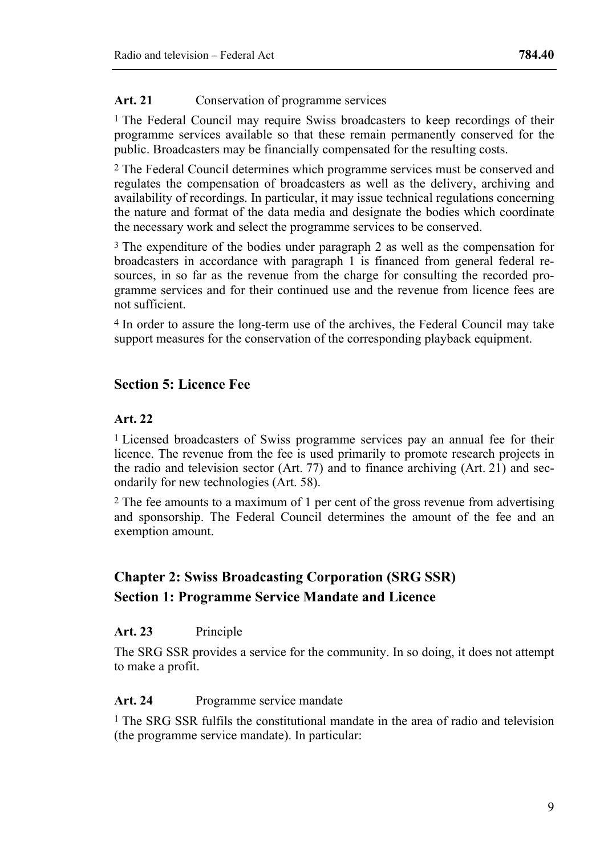### Art. 21 Conservation of programme services

1 The Federal Council may require Swiss broadcasters to keep recordings of their programme services available so that these remain permanently conserved for the public. Broadcasters may be financially compensated for the resulting costs.

2 The Federal Council determines which programme services must be conserved and regulates the compensation of broadcasters as well as the delivery, archiving and availability of recordings. In particular, it may issue technical regulations concerning the nature and format of the data media and designate the bodies which coordinate the necessary work and select the programme services to be conserved.

3 The expenditure of the bodies under paragraph 2 as well as the compensation for broadcasters in accordance with paragraph 1 is financed from general federal resources, in so far as the revenue from the charge for consulting the recorded programme services and for their continued use and the revenue from licence fees are not sufficient.

4 In order to assure the long-term use of the archives, the Federal Council may take support measures for the conservation of the corresponding playback equipment.

# **Section 5: Licence Fee**

#### **Art. 22**

<sup>1</sup> Licensed broadcasters of Swiss programme services pay an annual fee for their licence. The revenue from the fee is used primarily to promote research projects in the radio and television sector (Art. 77) and to finance archiving (Art. 21) and secondarily for new technologies (Art. 58).

2 The fee amounts to a maximum of 1 per cent of the gross revenue from advertising and sponsorship. The Federal Council determines the amount of the fee and an exemption amount.

# **Chapter 2: Swiss Broadcasting Corporation (SRG SSR) Section 1: Programme Service Mandate and Licence**

#### **Art. 23** Principle

The SRG SSR provides a service for the community. In so doing, it does not attempt to make a profit.

#### Art. 24 Programme service mandate

<sup>1</sup> The SRG SSR fulfils the constitutional mandate in the area of radio and television (the programme service mandate). In particular: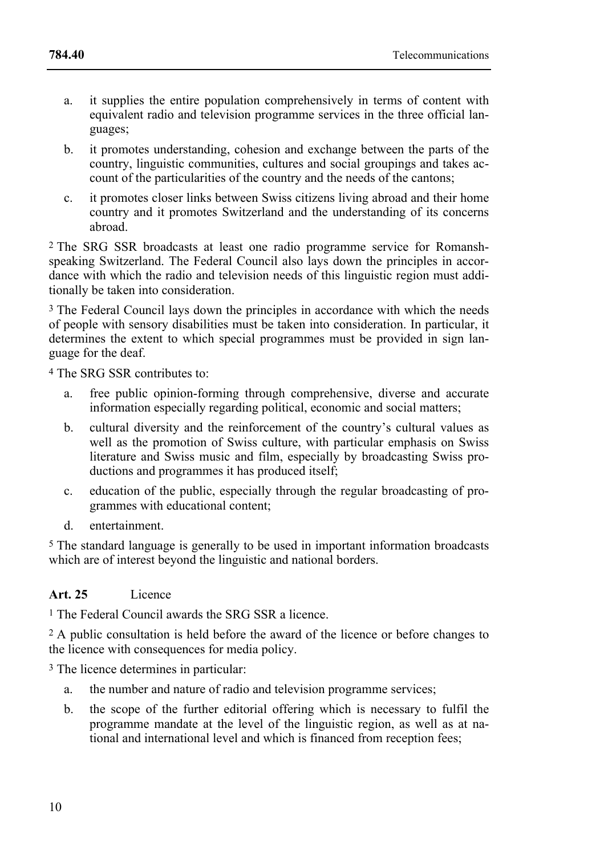- a. it supplies the entire population comprehensively in terms of content with equivalent radio and television programme services in the three official languages;
- b. it promotes understanding, cohesion and exchange between the parts of the country, linguistic communities, cultures and social groupings and takes account of the particularities of the country and the needs of the cantons;
- c. it promotes closer links between Swiss citizens living abroad and their home country and it promotes Switzerland and the understanding of its concerns abroad.

2 The SRG SSR broadcasts at least one radio programme service for Romanshspeaking Switzerland. The Federal Council also lays down the principles in accordance with which the radio and television needs of this linguistic region must additionally be taken into consideration.

3 The Federal Council lays down the principles in accordance with which the needs of people with sensory disabilities must be taken into consideration. In particular, it determines the extent to which special programmes must be provided in sign language for the deaf.

4 The SRG SSR contributes to:

- a. free public opinion-forming through comprehensive, diverse and accurate information especially regarding political, economic and social matters;
- b. cultural diversity and the reinforcement of the country's cultural values as well as the promotion of Swiss culture, with particular emphasis on Swiss literature and Swiss music and film, especially by broadcasting Swiss productions and programmes it has produced itself;
- c. education of the public, especially through the regular broadcasting of programmes with educational content;
- d. entertainment.

5 The standard language is generally to be used in important information broadcasts which are of interest beyond the linguistic and national borders.

#### **Art. 25** Licence

1 The Federal Council awards the SRG SSR a licence.

2 A public consultation is held before the award of the licence or before changes to the licence with consequences for media policy.

3 The licence determines in particular:

- a. the number and nature of radio and television programme services;
- b. the scope of the further editorial offering which is necessary to fulfil the programme mandate at the level of the linguistic region, as well as at national and international level and which is financed from reception fees;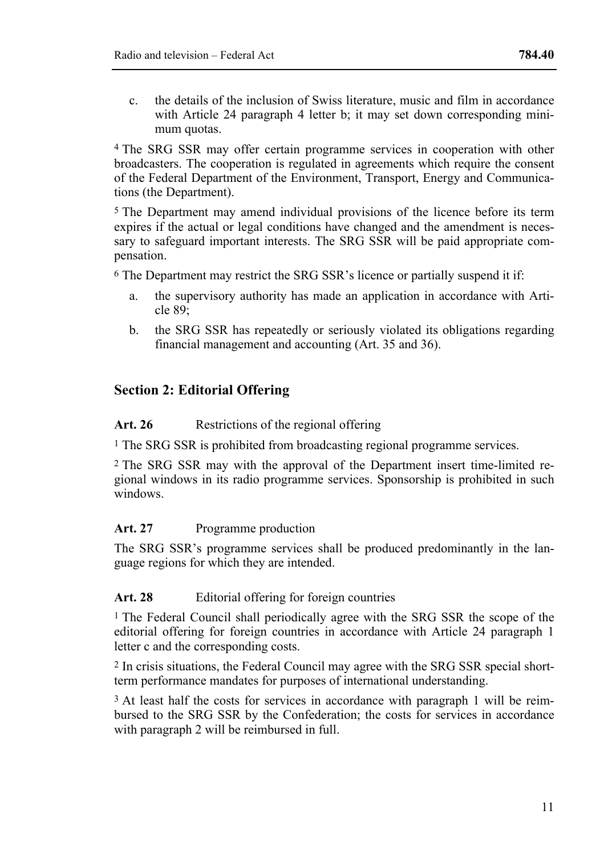c. the details of the inclusion of Swiss literature, music and film in accordance with Article 24 paragraph 4 letter b; it may set down corresponding minimum quotas.

4 The SRG SSR may offer certain programme services in cooperation with other broadcasters. The cooperation is regulated in agreements which require the consent of the Federal Department of the Environment, Transport, Energy and Communications (the Department).

5 The Department may amend individual provisions of the licence before its term expires if the actual or legal conditions have changed and the amendment is necessary to safeguard important interests. The SRG SSR will be paid appropriate compensation.

6 The Department may restrict the SRG SSR's licence or partially suspend it if:

- a. the supervisory authority has made an application in accordance with Article 89;
- b. the SRG SSR has repeatedly or seriously violated its obligations regarding financial management and accounting (Art. 35 and 36).

# **Section 2: Editorial Offering**

Art. 26 Restrictions of the regional offering

1 The SRG SSR is prohibited from broadcasting regional programme services.

2 The SRG SSR may with the approval of the Department insert time-limited regional windows in its radio programme services. Sponsorship is prohibited in such windows.

#### Art. 27 Programme production

The SRG SSR's programme services shall be produced predominantly in the language regions for which they are intended.

#### Art. 28 Editorial offering for foreign countries

<sup>1</sup> The Federal Council shall periodically agree with the SRG SSR the scope of the editorial offering for foreign countries in accordance with Article 24 paragraph 1 letter c and the corresponding costs.

2 In crisis situations, the Federal Council may agree with the SRG SSR special shortterm performance mandates for purposes of international understanding.

3 At least half the costs for services in accordance with paragraph 1 will be reimbursed to the SRG SSR by the Confederation; the costs for services in accordance with paragraph 2 will be reimbursed in full.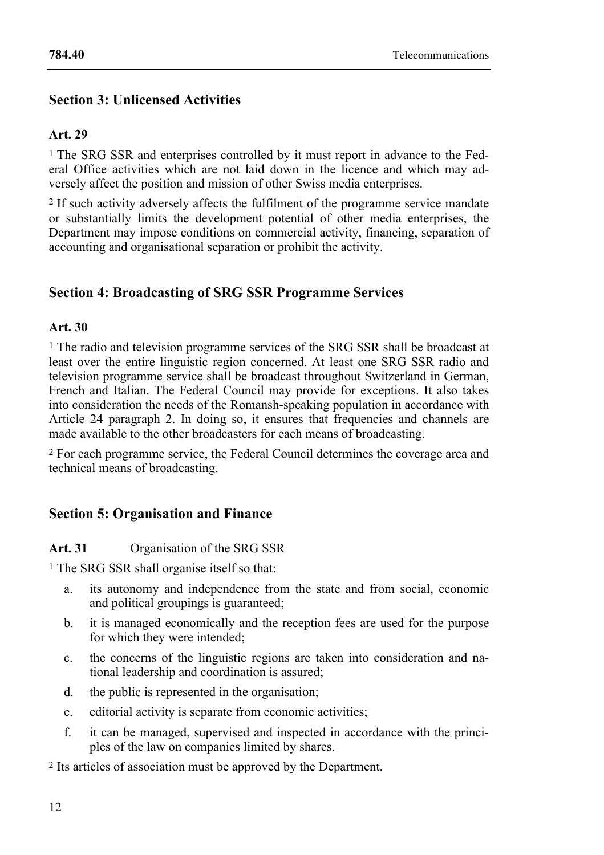# **Section 3: Unlicensed Activities**

# **Art. 29**

<sup>1</sup> The SRG SSR and enterprises controlled by it must report in advance to the Federal Office activities which are not laid down in the licence and which may adversely affect the position and mission of other Swiss media enterprises.

2 If such activity adversely affects the fulfilment of the programme service mandate or substantially limits the development potential of other media enterprises, the Department may impose conditions on commercial activity, financing, separation of accounting and organisational separation or prohibit the activity.

# **Section 4: Broadcasting of SRG SSR Programme Services**

### **Art. 30**

1 The radio and television programme services of the SRG SSR shall be broadcast at least over the entire linguistic region concerned. At least one SRG SSR radio and television programme service shall be broadcast throughout Switzerland in German, French and Italian. The Federal Council may provide for exceptions. It also takes into consideration the needs of the Romansh-speaking population in accordance with Article 24 paragraph 2. In doing so, it ensures that frequencies and channels are made available to the other broadcasters for each means of broadcasting.

2 For each programme service, the Federal Council determines the coverage area and technical means of broadcasting.

# **Section 5: Organisation and Finance**

# **Art. 31** Organisation of the SRG SSR

1 The SRG SSR shall organise itself so that:

- a. its autonomy and independence from the state and from social, economic and political groupings is guaranteed;
- b. it is managed economically and the reception fees are used for the purpose for which they were intended;
- c. the concerns of the linguistic regions are taken into consideration and national leadership and coordination is assured;
- d. the public is represented in the organisation;
- e. editorial activity is separate from economic activities;
- f. it can be managed, supervised and inspected in accordance with the principles of the law on companies limited by shares.

2 Its articles of association must be approved by the Department.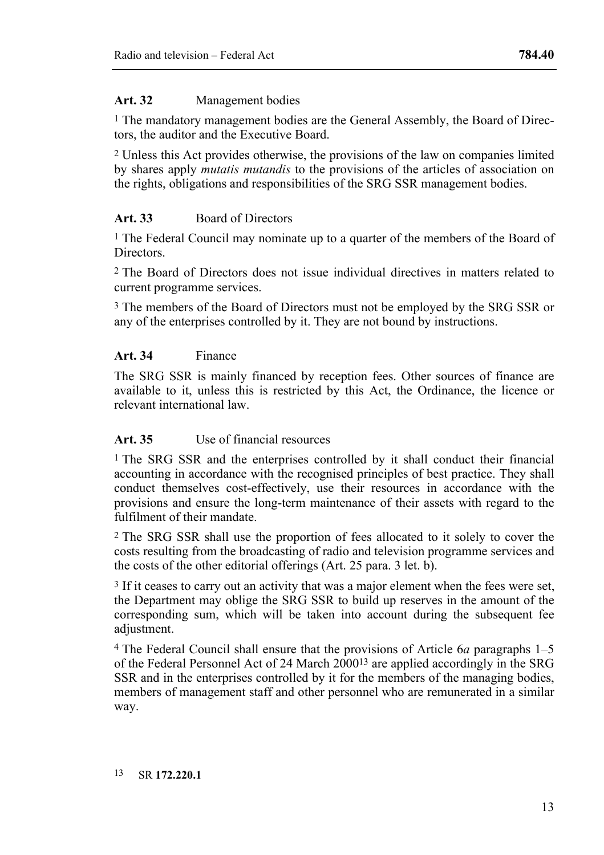#### **Art. 32** Management bodies

1 The mandatory management bodies are the General Assembly, the Board of Directors, the auditor and the Executive Board.

2 Unless this Act provides otherwise, the provisions of the law on companies limited by shares apply *mutatis mutandis* to the provisions of the articles of association on the rights, obligations and responsibilities of the SRG SSR management bodies.

# **Art. 33** Board of Directors

1 The Federal Council may nominate up to a quarter of the members of the Board of **Directors** 

2 The Board of Directors does not issue individual directives in matters related to current programme services.

3 The members of the Board of Directors must not be employed by the SRG SSR or any of the enterprises controlled by it. They are not bound by instructions.

# **Art. 34** Finance

The SRG SSR is mainly financed by reception fees. Other sources of finance are available to it, unless this is restricted by this Act, the Ordinance, the licence or relevant international law.

# **Art. 35** Use of financial resources

1 The SRG SSR and the enterprises controlled by it shall conduct their financial accounting in accordance with the recognised principles of best practice. They shall conduct themselves cost-effectively, use their resources in accordance with the provisions and ensure the long-term maintenance of their assets with regard to the fulfilment of their mandate.

2 The SRG SSR shall use the proportion of fees allocated to it solely to cover the costs resulting from the broadcasting of radio and television programme services and the costs of the other editorial offerings (Art. 25 para. 3 let. b).

3 If it ceases to carry out an activity that was a major element when the fees were set, the Department may oblige the SRG SSR to build up reserves in the amount of the corresponding sum, which will be taken into account during the subsequent fee adjustment.

4 The Federal Council shall ensure that the provisions of Article 6*a* paragraphs 1–5 of the Federal Personnel Act of 24 March 200013 are applied accordingly in the SRG SSR and in the enterprises controlled by it for the members of the managing bodies, members of management staff and other personnel who are remunerated in a similar way.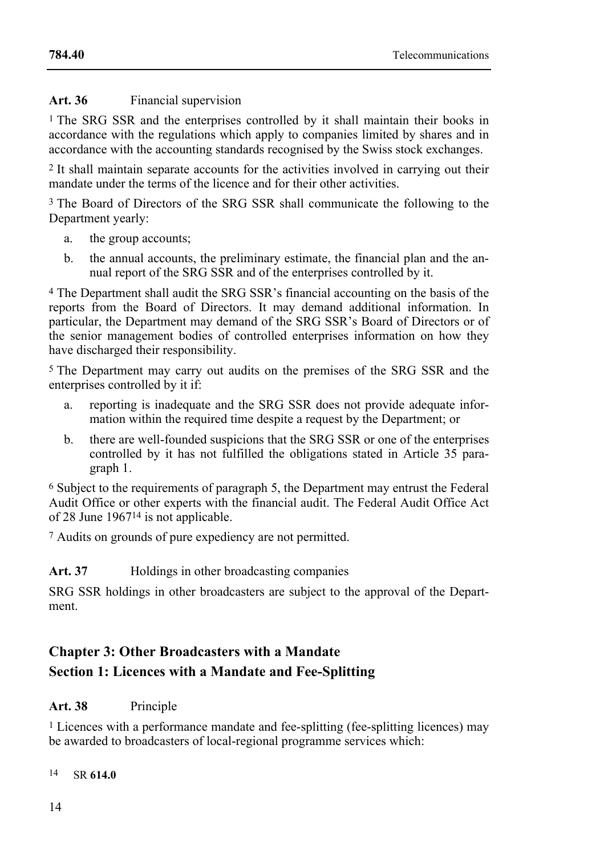#### Art. 36 Financial supervision

1 The SRG SSR and the enterprises controlled by it shall maintain their books in accordance with the regulations which apply to companies limited by shares and in accordance with the accounting standards recognised by the Swiss stock exchanges.

2 It shall maintain separate accounts for the activities involved in carrying out their mandate under the terms of the licence and for their other activities.

3 The Board of Directors of the SRG SSR shall communicate the following to the Department yearly:

- a. the group accounts;
- b. the annual accounts, the preliminary estimate, the financial plan and the annual report of the SRG SSR and of the enterprises controlled by it.

4 The Department shall audit the SRG SSR's financial accounting on the basis of the reports from the Board of Directors. It may demand additional information. In particular, the Department may demand of the SRG SSR's Board of Directors or of the senior management bodies of controlled enterprises information on how they have discharged their responsibility.

5 The Department may carry out audits on the premises of the SRG SSR and the enterprises controlled by it if:

- a. reporting is inadequate and the SRG SSR does not provide adequate information within the required time despite a request by the Department; or
- b. there are well-founded suspicions that the SRG SSR or one of the enterprises controlled by it has not fulfilled the obligations stated in Article 35 paragraph 1.

6 Subject to the requirements of paragraph 5, the Department may entrust the Federal Audit Office or other experts with the financial audit. The Federal Audit Office Act of 28 June 196714 is not applicable.

7 Audits on grounds of pure expediency are not permitted.

#### Art. 37 **Holdings in other broadcasting companies**

SRG SSR holdings in other broadcasters are subject to the approval of the Department.

# **Chapter 3: Other Broadcasters with a Mandate**

# **Section 1: Licences with a Mandate and Fee-Splitting**

#### **Art. 38** Principle

1 Licences with a performance mandate and fee-splitting (fee-splitting licences) may be awarded to broadcasters of local-regional programme services which:

 $14$ 14 SR **614.0**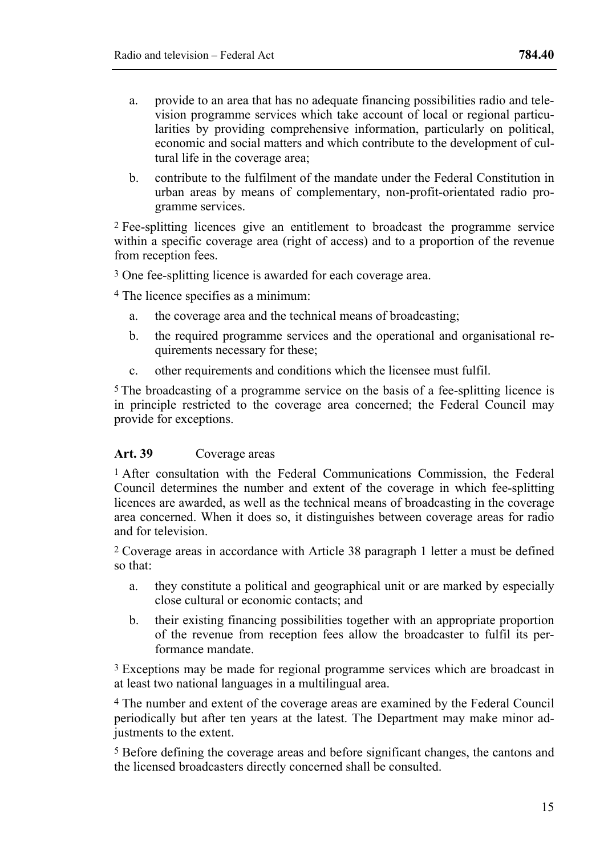- a. provide to an area that has no adequate financing possibilities radio and television programme services which take account of local or regional particularities by providing comprehensive information, particularly on political, economic and social matters and which contribute to the development of cultural life in the coverage area;
- b. contribute to the fulfilment of the mandate under the Federal Constitution in urban areas by means of complementary, non-profit-orientated radio programme services.

2 Fee-splitting licences give an entitlement to broadcast the programme service within a specific coverage area (right of access) and to a proportion of the revenue from reception fees.

3 One fee-splitting licence is awarded for each coverage area.

4 The licence specifies as a minimum:

- a. the coverage area and the technical means of broadcasting;
- b. the required programme services and the operational and organisational requirements necessary for these;
- c. other requirements and conditions which the licensee must fulfil.

5 The broadcasting of a programme service on the basis of a fee-splitting licence is in principle restricted to the coverage area concerned; the Federal Council may provide for exceptions.

#### **Art. 39** Coverage areas

<sup>1</sup> After consultation with the Federal Communications Commission, the Federal Council determines the number and extent of the coverage in which fee-splitting licences are awarded, as well as the technical means of broadcasting in the coverage area concerned. When it does so, it distinguishes between coverage areas for radio and for television.

2 Coverage areas in accordance with Article 38 paragraph 1 letter a must be defined so that:

- a. they constitute a political and geographical unit or are marked by especially close cultural or economic contacts; and
- b. their existing financing possibilities together with an appropriate proportion of the revenue from reception fees allow the broadcaster to fulfil its performance mandate.

<sup>3</sup> Exceptions may be made for regional programme services which are broadcast in at least two national languages in a multilingual area.

4 The number and extent of the coverage areas are examined by the Federal Council periodically but after ten years at the latest. The Department may make minor adjustments to the extent.

5 Before defining the coverage areas and before significant changes, the cantons and the licensed broadcasters directly concerned shall be consulted.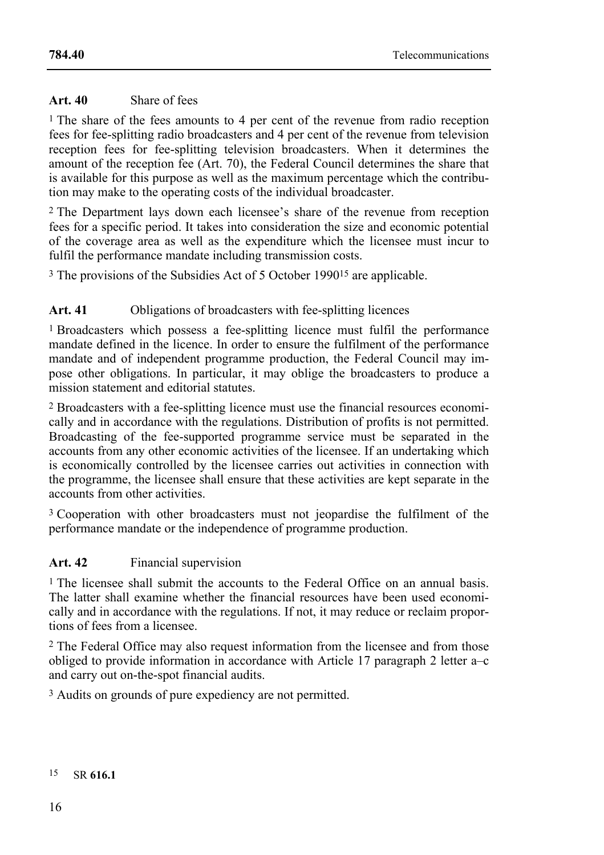### **Art. 40** Share of fees

1 The share of the fees amounts to 4 per cent of the revenue from radio reception fees for fee-splitting radio broadcasters and 4 per cent of the revenue from television reception fees for fee-splitting television broadcasters. When it determines the amount of the reception fee (Art. 70), the Federal Council determines the share that is available for this purpose as well as the maximum percentage which the contribution may make to the operating costs of the individual broadcaster.

2 The Department lays down each licensee's share of the revenue from reception fees for a specific period. It takes into consideration the size and economic potential of the coverage area as well as the expenditure which the licensee must incur to fulfil the performance mandate including transmission costs.

<sup>3</sup> The provisions of the Subsidies Act of 5 October 1990<sup>15</sup> are applicable.

# Art. 41 Obligations of broadcasters with fee-splitting licences

1 Broadcasters which possess a fee-splitting licence must fulfil the performance mandate defined in the licence. In order to ensure the fulfilment of the performance mandate and of independent programme production, the Federal Council may impose other obligations. In particular, it may oblige the broadcasters to produce a mission statement and editorial statutes.

2 Broadcasters with a fee-splitting licence must use the financial resources economically and in accordance with the regulations. Distribution of profits is not permitted. Broadcasting of the fee-supported programme service must be separated in the accounts from any other economic activities of the licensee. If an undertaking which is economically controlled by the licensee carries out activities in connection with the programme, the licensee shall ensure that these activities are kept separate in the accounts from other activities.

<sup>3</sup> Cooperation with other broadcasters must not jeopardise the fulfilment of the performance mandate or the independence of programme production.

# **Art. 42** Financial supervision

<sup>1</sup> The licensee shall submit the accounts to the Federal Office on an annual basis. The latter shall examine whether the financial resources have been used economically and in accordance with the regulations. If not, it may reduce or reclaim proportions of fees from a licensee.

2 The Federal Office may also request information from the licensee and from those obliged to provide information in accordance with Article 17 paragraph 2 letter a–c and carry out on-the-spot financial audits.

3 Audits on grounds of pure expediency are not permitted.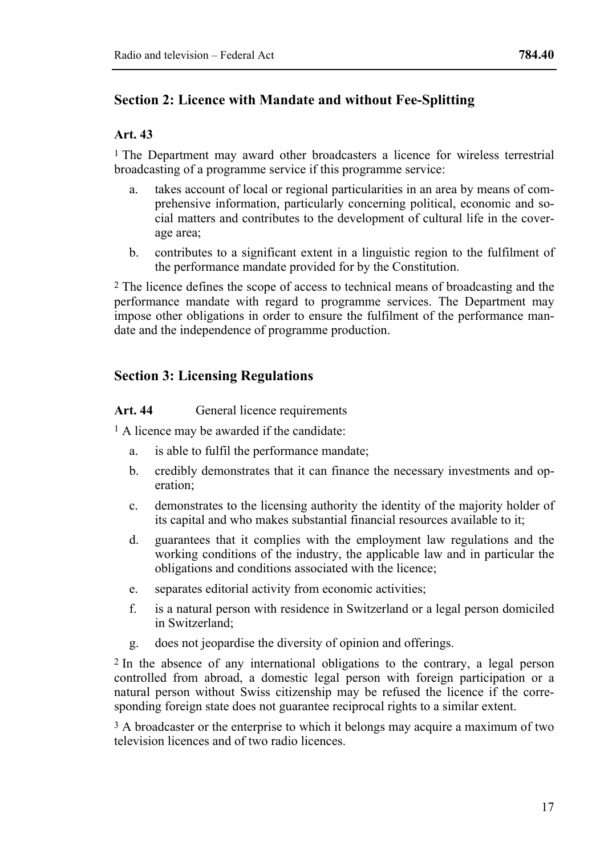# **Section 2: Licence with Mandate and without Fee-Splitting**

### **Art. 43**

<sup>1</sup> The Department may award other broadcasters a licence for wireless terrestrial broadcasting of a programme service if this programme service:

- a. takes account of local or regional particularities in an area by means of comprehensive information, particularly concerning political, economic and social matters and contributes to the development of cultural life in the coverage area;
- b. contributes to a significant extent in a linguistic region to the fulfilment of the performance mandate provided for by the Constitution.

2 The licence defines the scope of access to technical means of broadcasting and the performance mandate with regard to programme services. The Department may impose other obligations in order to ensure the fulfilment of the performance mandate and the independence of programme production.

# **Section 3: Licensing Regulations**

Art. 44 General licence requirements

<sup>1</sup> A licence may be awarded if the candidate:

- a. is able to fulfil the performance mandate;
- b. credibly demonstrates that it can finance the necessary investments and operation;
- c. demonstrates to the licensing authority the identity of the majority holder of its capital and who makes substantial financial resources available to it;
- d. guarantees that it complies with the employment law regulations and the working conditions of the industry, the applicable law and in particular the obligations and conditions associated with the licence;
- e. separates editorial activity from economic activities;
- f. is a natural person with residence in Switzerland or a legal person domiciled in Switzerland;
- g. does not jeopardise the diversity of opinion and offerings.

2 In the absence of any international obligations to the contrary, a legal person controlled from abroad, a domestic legal person with foreign participation or a natural person without Swiss citizenship may be refused the licence if the corresponding foreign state does not guarantee reciprocal rights to a similar extent.

<sup>3</sup> A broadcaster or the enterprise to which it belongs may acquire a maximum of two television licences and of two radio licences.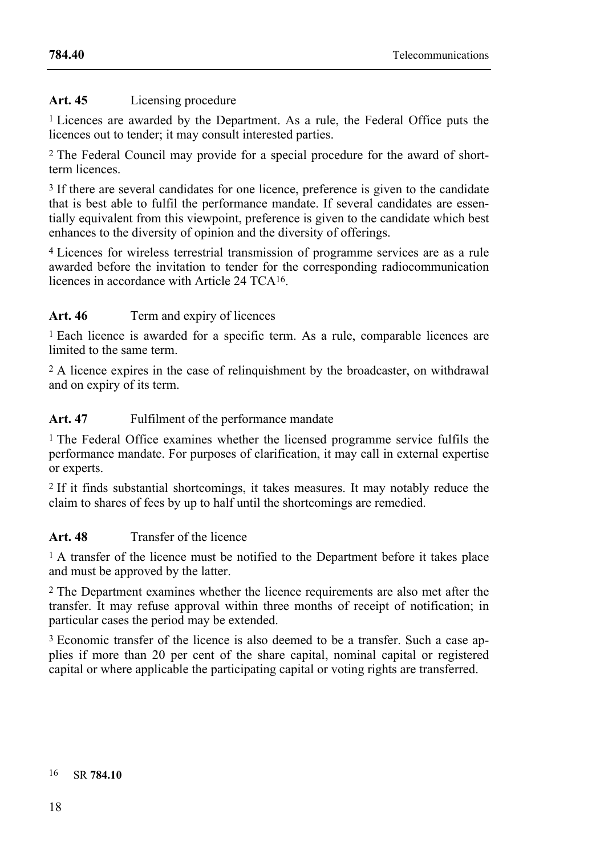## **Art. 45** Licensing procedure

1 Licences are awarded by the Department. As a rule, the Federal Office puts the licences out to tender; it may consult interested parties.

2 The Federal Council may provide for a special procedure for the award of shortterm licences.

<sup>3</sup> If there are several candidates for one licence, preference is given to the candidate that is best able to fulfil the performance mandate. If several candidates are essentially equivalent from this viewpoint, preference is given to the candidate which best enhances to the diversity of opinion and the diversity of offerings.

4 Licences for wireless terrestrial transmission of programme services are as a rule awarded before the invitation to tender for the corresponding radiocommunication licences in accordance with Article 24 TCA16.

# Art. 46 Term and expiry of licences

1 Each licence is awarded for a specific term. As a rule, comparable licences are limited to the same term.

2 A licence expires in the case of relinquishment by the broadcaster, on withdrawal and on expiry of its term.

**Art. 47** Fulfilment of the performance mandate

1 The Federal Office examines whether the licensed programme service fulfils the performance mandate. For purposes of clarification, it may call in external expertise or experts.

2 If it finds substantial shortcomings, it takes measures. It may notably reduce the claim to shares of fees by up to half until the shortcomings are remedied.

# **Art. 48** Transfer of the licence

<sup>1</sup> A transfer of the licence must be notified to the Department before it takes place and must be approved by the latter.

2 The Department examines whether the licence requirements are also met after the transfer. It may refuse approval within three months of receipt of notification; in particular cases the period may be extended.

3 Economic transfer of the licence is also deemed to be a transfer. Such a case applies if more than 20 per cent of the share capital, nominal capital or registered capital or where applicable the participating capital or voting rights are transferred.

#### 16 SR **784.10**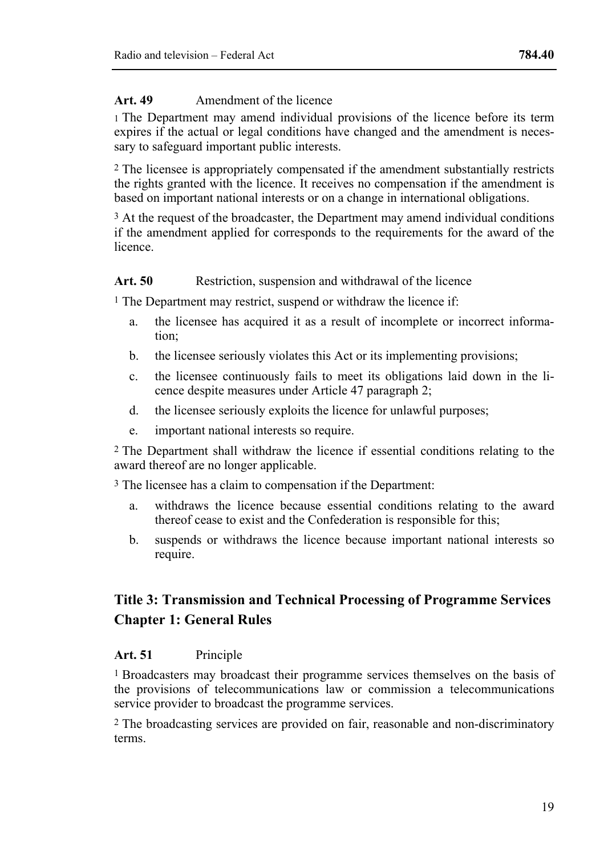### Art. 49 Amendment of the licence

1 The Department may amend individual provisions of the licence before its term expires if the actual or legal conditions have changed and the amendment is necessary to safeguard important public interests.

2 The licensee is appropriately compensated if the amendment substantially restricts the rights granted with the licence. It receives no compensation if the amendment is based on important national interests or on a change in international obligations.

<sup>3</sup> At the request of the broadcaster, the Department may amend individual conditions if the amendment applied for corresponds to the requirements for the award of the licence.

### Art. 50 Restriction, suspension and withdrawal of the licence

<sup>1</sup> The Department may restrict, suspend or withdraw the licence if:

- a. the licensee has acquired it as a result of incomplete or incorrect information;
- b. the licensee seriously violates this Act or its implementing provisions;
- c. the licensee continuously fails to meet its obligations laid down in the licence despite measures under Article 47 paragraph 2;
- d. the licensee seriously exploits the licence for unlawful purposes;
- e. important national interests so require.

2 The Department shall withdraw the licence if essential conditions relating to the award thereof are no longer applicable.

3 The licensee has a claim to compensation if the Department:

- a. withdraws the licence because essential conditions relating to the award thereof cease to exist and the Confederation is responsible for this;
- b. suspends or withdraws the licence because important national interests so require.

# **Title 3: Transmission and Technical Processing of Programme Services Chapter 1: General Rules**

#### **Art. 51** Principle

1 Broadcasters may broadcast their programme services themselves on the basis of the provisions of telecommunications law or commission a telecommunications service provider to broadcast the programme services.

2 The broadcasting services are provided on fair, reasonable and non-discriminatory terms.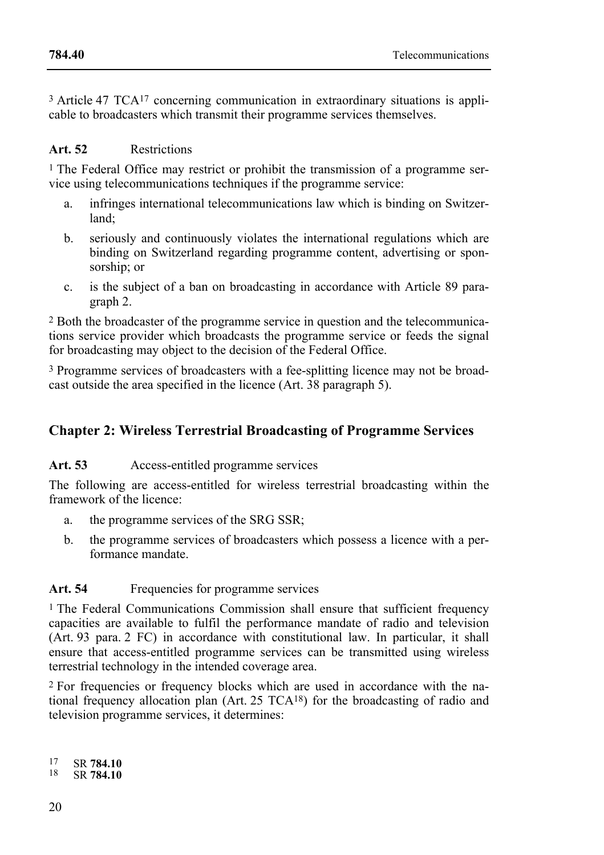3 Article 47 TCA17 concerning communication in extraordinary situations is applicable to broadcasters which transmit their programme services themselves.

#### **Art. 52** Restrictions

1 The Federal Office may restrict or prohibit the transmission of a programme service using telecommunications techniques if the programme service:

- a. infringes international telecommunications law which is binding on Switzerland;
- b. seriously and continuously violates the international regulations which are binding on Switzerland regarding programme content, advertising or sponsorship; or
- c. is the subject of a ban on broadcasting in accordance with Article 89 paragraph 2.

2 Both the broadcaster of the programme service in question and the telecommunications service provider which broadcasts the programme service or feeds the signal for broadcasting may object to the decision of the Federal Office.

3 Programme services of broadcasters with a fee-splitting licence may not be broadcast outside the area specified in the licence (Art. 38 paragraph 5).

# **Chapter 2: Wireless Terrestrial Broadcasting of Programme Services**

Art. 53 Access-entitled programme services

The following are access-entitled for wireless terrestrial broadcasting within the framework of the licence:

- a. the programme services of the SRG SSR;
- b. the programme services of broadcasters which possess a licence with a performance mandate.

### Art. 54 Frequencies for programme services

<sup>1</sup> The Federal Communications Commission shall ensure that sufficient frequency capacities are available to fulfil the performance mandate of radio and television (Art. 93 para. 2 FC) in accordance with constitutional law. In particular, it shall ensure that access-entitled programme services can be transmitted using wireless terrestrial technology in the intended coverage area.

2 For frequencies or frequency blocks which are used in accordance with the national frequency allocation plan (Art. 25 TCA18) for the broadcasting of radio and television programme services, it determines:

17 17 SR **784.10** 18 SR **784.10**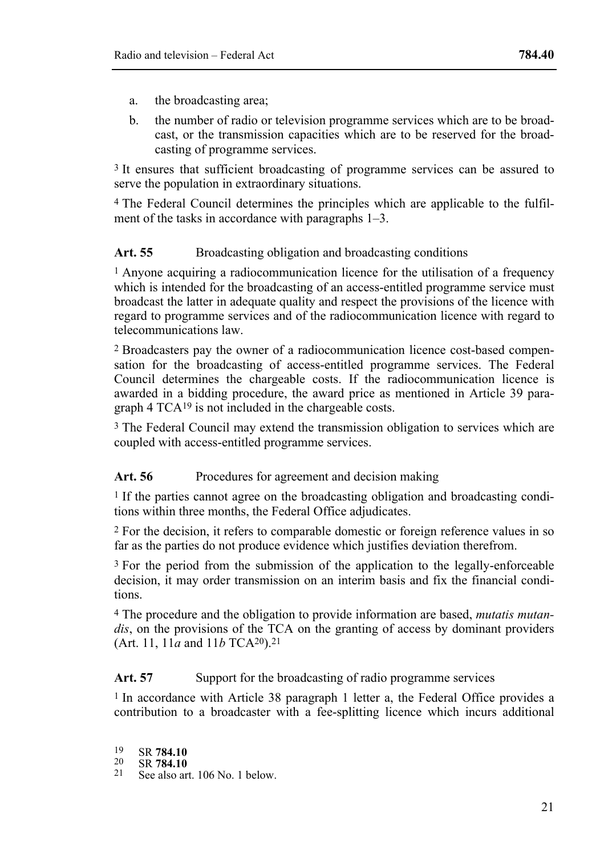- a. the broadcasting area;
- b. the number of radio or television programme services which are to be broadcast, or the transmission capacities which are to be reserved for the broadcasting of programme services.

3 It ensures that sufficient broadcasting of programme services can be assured to serve the population in extraordinary situations.

4 The Federal Council determines the principles which are applicable to the fulfilment of the tasks in accordance with paragraphs 1–3.

### Art. 55 Broadcasting obligation and broadcasting conditions

1 Anyone acquiring a radiocommunication licence for the utilisation of a frequency which is intended for the broadcasting of an access-entitled programme service must broadcast the latter in adequate quality and respect the provisions of the licence with regard to programme services and of the radiocommunication licence with regard to telecommunications law.

2 Broadcasters pay the owner of a radiocommunication licence cost-based compensation for the broadcasting of access-entitled programme services. The Federal Council determines the chargeable costs. If the radiocommunication licence is awarded in a bidding procedure, the award price as mentioned in Article 39 paragraph 4 TCA19 is not included in the chargeable costs.

3 The Federal Council may extend the transmission obligation to services which are coupled with access-entitled programme services.

#### Art. 56 Procedures for agreement and decision making

1 If the parties cannot agree on the broadcasting obligation and broadcasting conditions within three months, the Federal Office adjudicates.

2 For the decision, it refers to comparable domestic or foreign reference values in so far as the parties do not produce evidence which justifies deviation therefrom.

<sup>3</sup> For the period from the submission of the application to the legally-enforceable decision, it may order transmission on an interim basis and fix the financial conditions.

4 The procedure and the obligation to provide information are based, *mutatis mutandis*, on the provisions of the TCA on the granting of access by dominant providers (Art. 11, 11*a* and 11*b* TCA20).21

### Art. 57 Support for the broadcasting of radio programme services

1 In accordance with Article 38 paragraph 1 letter a, the Federal Office provides a contribution to a broadcaster with a fee-splitting licence which incurs additional

- 19
- 
- 19 SR **784.10** 20 SR **784.10** 21 See also art. 106 No. 1 below.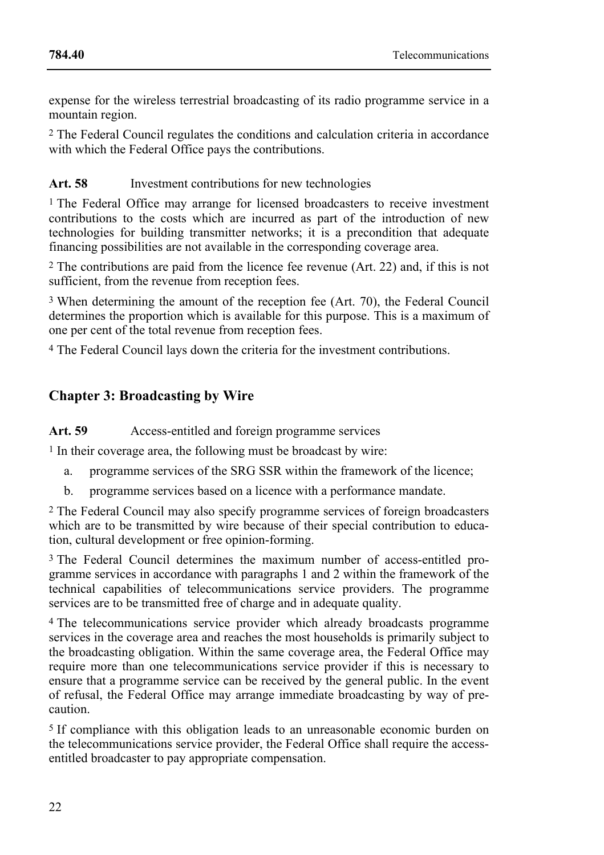expense for the wireless terrestrial broadcasting of its radio programme service in a mountain region.

2 The Federal Council regulates the conditions and calculation criteria in accordance with which the Federal Office pays the contributions.

# Art. 58 Investment contributions for new technologies

1 The Federal Office may arrange for licensed broadcasters to receive investment contributions to the costs which are incurred as part of the introduction of new technologies for building transmitter networks; it is a precondition that adequate financing possibilities are not available in the corresponding coverage area.

2 The contributions are paid from the licence fee revenue (Art. 22) and, if this is not sufficient, from the revenue from reception fees.

3 When determining the amount of the reception fee (Art. 70), the Federal Council determines the proportion which is available for this purpose. This is a maximum of one per cent of the total revenue from reception fees.

4 The Federal Council lays down the criteria for the investment contributions.

# **Chapter 3: Broadcasting by Wire**

Art. 59 Access-entitled and foreign programme services

1 In their coverage area, the following must be broadcast by wire:

- a. programme services of the SRG SSR within the framework of the licence;
- b. programme services based on a licence with a performance mandate.

2 The Federal Council may also specify programme services of foreign broadcasters which are to be transmitted by wire because of their special contribution to education, cultural development or free opinion-forming.

3 The Federal Council determines the maximum number of access-entitled programme services in accordance with paragraphs 1 and 2 within the framework of the technical capabilities of telecommunications service providers. The programme services are to be transmitted free of charge and in adequate quality.

4 The telecommunications service provider which already broadcasts programme services in the coverage area and reaches the most households is primarily subject to the broadcasting obligation. Within the same coverage area, the Federal Office may require more than one telecommunications service provider if this is necessary to ensure that a programme service can be received by the general public. In the event of refusal, the Federal Office may arrange immediate broadcasting by way of precaution.

5 If compliance with this obligation leads to an unreasonable economic burden on the telecommunications service provider, the Federal Office shall require the accessentitled broadcaster to pay appropriate compensation.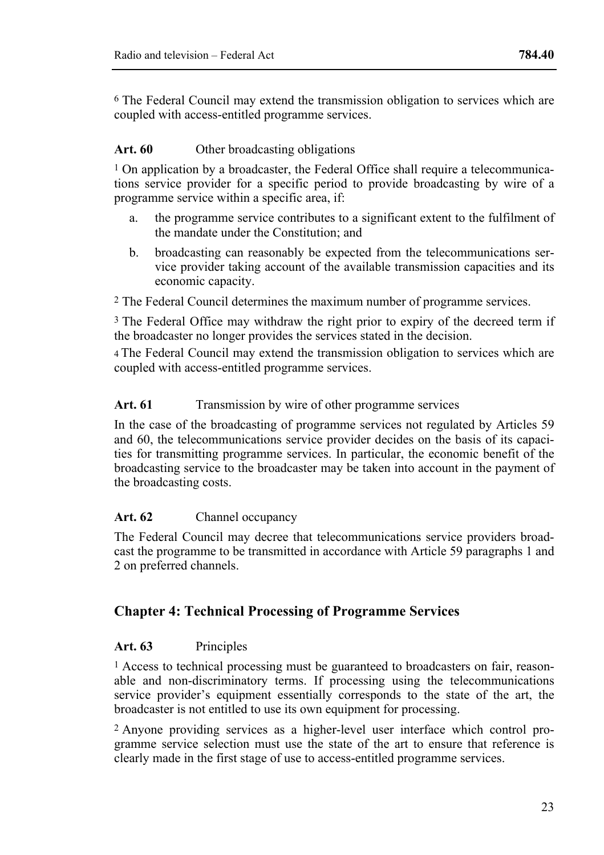6 The Federal Council may extend the transmission obligation to services which are coupled with access-entitled programme services.

#### Art. 60 Other broadcasting obligations

1 On application by a broadcaster, the Federal Office shall require a telecommunications service provider for a specific period to provide broadcasting by wire of a programme service within a specific area, if:

- a. the programme service contributes to a significant extent to the fulfilment of the mandate under the Constitution; and
- b. broadcasting can reasonably be expected from the telecommunications service provider taking account of the available transmission capacities and its economic capacity.

2 The Federal Council determines the maximum number of programme services.

3 The Federal Office may withdraw the right prior to expiry of the decreed term if the broadcaster no longer provides the services stated in the decision.

4 The Federal Council may extend the transmission obligation to services which are coupled with access-entitled programme services.

#### Art. 61 Transmission by wire of other programme services

In the case of the broadcasting of programme services not regulated by Articles 59 and 60, the telecommunications service provider decides on the basis of its capacities for transmitting programme services. In particular, the economic benefit of the broadcasting service to the broadcaster may be taken into account in the payment of the broadcasting costs.

#### **Art. 62** Channel occupancy

The Federal Council may decree that telecommunications service providers broadcast the programme to be transmitted in accordance with Article 59 paragraphs 1 and 2 on preferred channels.

# **Chapter 4: Technical Processing of Programme Services**

#### **Art. 63** Principles

1 Access to technical processing must be guaranteed to broadcasters on fair, reasonable and non-discriminatory terms. If processing using the telecommunications service provider's equipment essentially corresponds to the state of the art, the broadcaster is not entitled to use its own equipment for processing.

2 Anyone providing services as a higher-level user interface which control programme service selection must use the state of the art to ensure that reference is clearly made in the first stage of use to access-entitled programme services.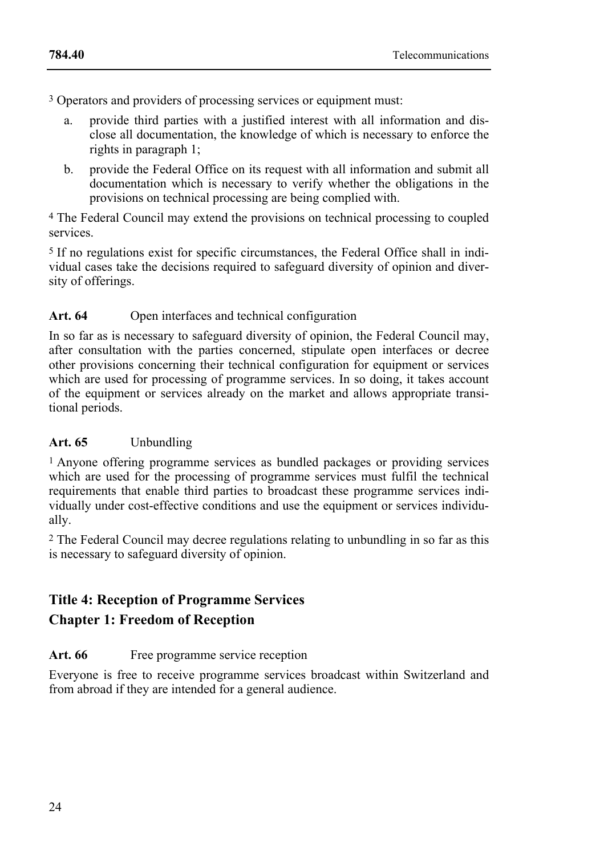3 Operators and providers of processing services or equipment must:

- a. provide third parties with a justified interest with all information and disclose all documentation, the knowledge of which is necessary to enforce the rights in paragraph 1;
- b. provide the Federal Office on its request with all information and submit all documentation which is necessary to verify whether the obligations in the provisions on technical processing are being complied with.

4 The Federal Council may extend the provisions on technical processing to coupled services.

5 If no regulations exist for specific circumstances, the Federal Office shall in individual cases take the decisions required to safeguard diversity of opinion and diversity of offerings.

### Art. 64 Open interfaces and technical configuration

In so far as is necessary to safeguard diversity of opinion, the Federal Council may, after consultation with the parties concerned, stipulate open interfaces or decree other provisions concerning their technical configuration for equipment or services which are used for processing of programme services. In so doing, it takes account of the equipment or services already on the market and allows appropriate transitional periods.

#### **Art. 65** Unbundling

1 Anyone offering programme services as bundled packages or providing services which are used for the processing of programme services must fulfil the technical requirements that enable third parties to broadcast these programme services individually under cost-effective conditions and use the equipment or services individually.

2 The Federal Council may decree regulations relating to unbundling in so far as this is necessary to safeguard diversity of opinion.

# **Title 4: Reception of Programme Services**

# **Chapter 1: Freedom of Reception**

#### Art. 66 Free programme service reception

Everyone is free to receive programme services broadcast within Switzerland and from abroad if they are intended for a general audience.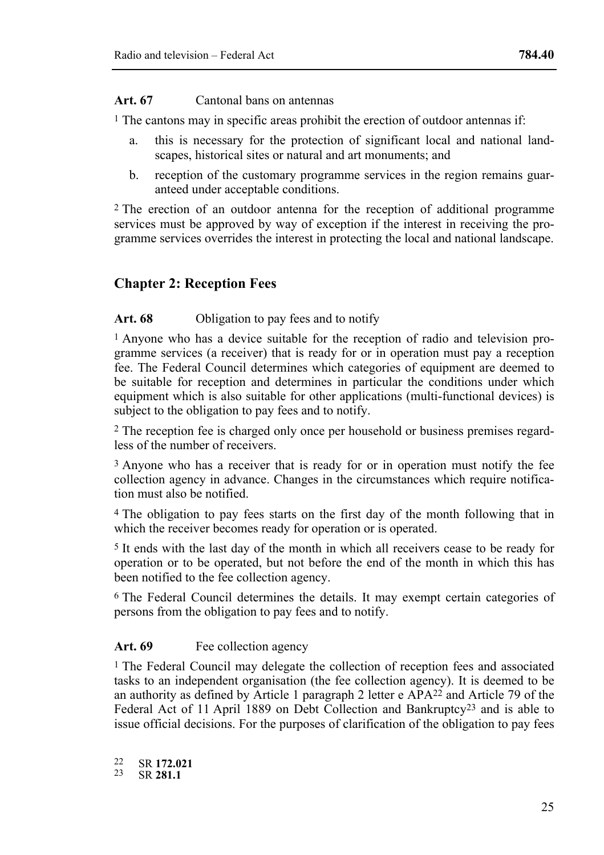#### **Art. 67** Cantonal bans on antennas

1 The cantons may in specific areas prohibit the erection of outdoor antennas if:

- a. this is necessary for the protection of significant local and national landscapes, historical sites or natural and art monuments; and
- b. reception of the customary programme services in the region remains guaranteed under acceptable conditions.

2 The erection of an outdoor antenna for the reception of additional programme services must be approved by way of exception if the interest in receiving the programme services overrides the interest in protecting the local and national landscape.

# **Chapter 2: Reception Fees**

#### Art. 68 Obligation to pay fees and to notify

1 Anyone who has a device suitable for the reception of radio and television programme services (a receiver) that is ready for or in operation must pay a reception fee. The Federal Council determines which categories of equipment are deemed to be suitable for reception and determines in particular the conditions under which equipment which is also suitable for other applications (multi-functional devices) is subject to the obligation to pay fees and to notify.

2 The reception fee is charged only once per household or business premises regardless of the number of receivers.

<sup>3</sup> Anyone who has a receiver that is ready for or in operation must notify the fee collection agency in advance. Changes in the circumstances which require notification must also be notified.

4 The obligation to pay fees starts on the first day of the month following that in which the receiver becomes ready for operation or is operated.

5 It ends with the last day of the month in which all receivers cease to be ready for operation or to be operated, but not before the end of the month in which this has been notified to the fee collection agency.

6 The Federal Council determines the details. It may exempt certain categories of persons from the obligation to pay fees and to notify.

#### Art. 69 Fee collection agency

1 The Federal Council may delegate the collection of reception fees and associated tasks to an independent organisation (the fee collection agency). It is deemed to be an authority as defined by Article 1 paragraph 2 letter e APA22 and Article 79 of the Federal Act of 11 April 1889 on Debt Collection and Bankruptcy23 and is able to issue official decisions. For the purposes of clarification of the obligation to pay fees

 $22$ 22 SR **172.021** 23 SR **281.1**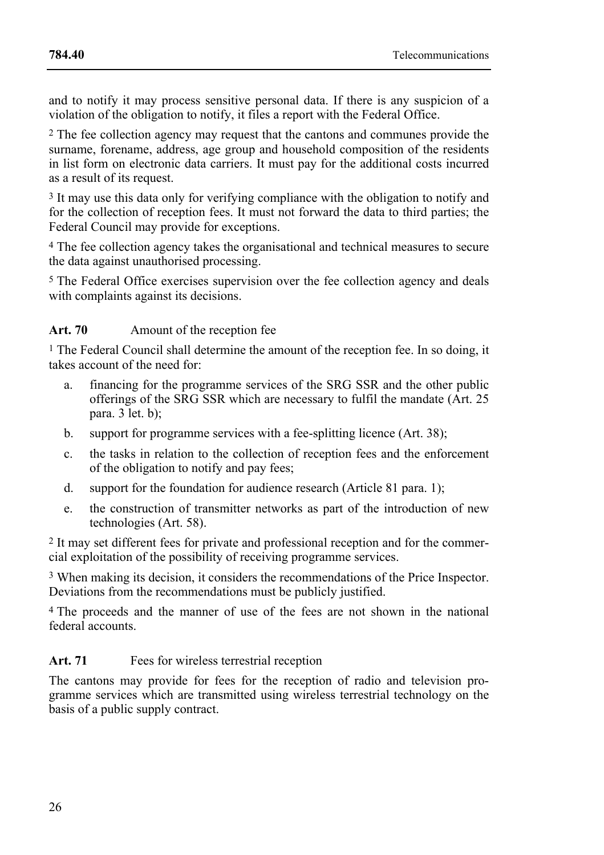and to notify it may process sensitive personal data. If there is any suspicion of a violation of the obligation to notify, it files a report with the Federal Office.

2 The fee collection agency may request that the cantons and communes provide the surname, forename, address, age group and household composition of the residents in list form on electronic data carriers. It must pay for the additional costs incurred as a result of its request.

<sup>3</sup> It may use this data only for verifying compliance with the obligation to notify and for the collection of reception fees. It must not forward the data to third parties; the Federal Council may provide for exceptions.

4 The fee collection agency takes the organisational and technical measures to secure the data against unauthorised processing.

5 The Federal Office exercises supervision over the fee collection agency and deals with complaints against its decisions.

# Art. 70 Amount of the reception fee

1 The Federal Council shall determine the amount of the reception fee. In so doing, it takes account of the need for:

- a. financing for the programme services of the SRG SSR and the other public offerings of the SRG SSR which are necessary to fulfil the mandate (Art. 25 para. 3 let. b);
- b. support for programme services with a fee-splitting licence (Art. 38);
- c. the tasks in relation to the collection of reception fees and the enforcement of the obligation to notify and pay fees;
- d. support for the foundation for audience research (Article 81 para. 1);
- e. the construction of transmitter networks as part of the introduction of new technologies (Art. 58).

2 It may set different fees for private and professional reception and for the commercial exploitation of the possibility of receiving programme services.

3 When making its decision, it considers the recommendations of the Price Inspector. Deviations from the recommendations must be publicly justified.

4 The proceeds and the manner of use of the fees are not shown in the national federal accounts.

# Art. 71 Fees for wireless terrestrial reception

The cantons may provide for fees for the reception of radio and television programme services which are transmitted using wireless terrestrial technology on the basis of a public supply contract.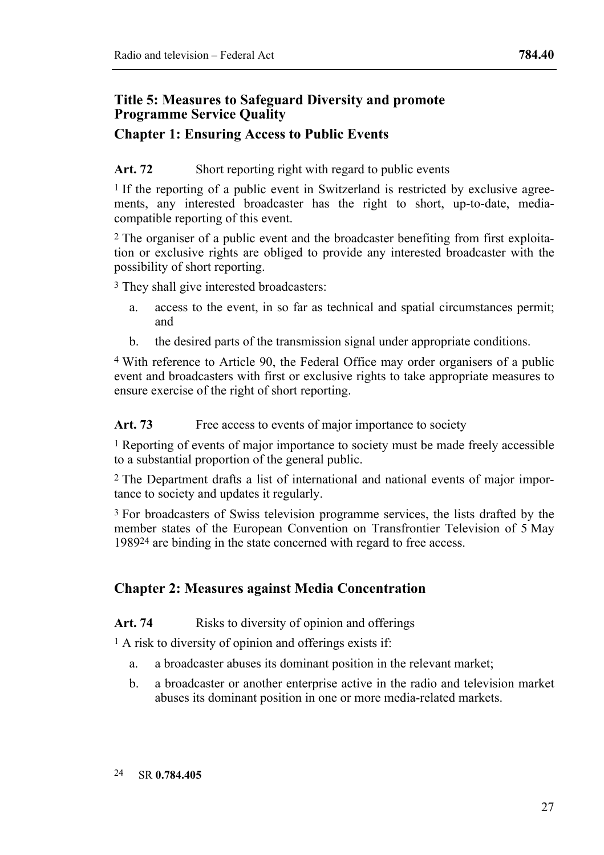# **Title 5: Measures to Safeguard Diversity and promote Programme Service Quality**

# **Chapter 1: Ensuring Access to Public Events**

# Art. 72 Short reporting right with regard to public events

<sup>1</sup> If the reporting of a public event in Switzerland is restricted by exclusive agreements, any interested broadcaster has the right to short, up-to-date, mediacompatible reporting of this event.

2 The organiser of a public event and the broadcaster benefiting from first exploitation or exclusive rights are obliged to provide any interested broadcaster with the possibility of short reporting.

3 They shall give interested broadcasters:

- a. access to the event, in so far as technical and spatial circumstances permit; and
- b. the desired parts of the transmission signal under appropriate conditions.

4 With reference to Article 90, the Federal Office may order organisers of a public event and broadcasters with first or exclusive rights to take appropriate measures to ensure exercise of the right of short reporting.

Art. 73 Free access to events of major importance to society

1 Reporting of events of major importance to society must be made freely accessible to a substantial proportion of the general public.

2 The Department drafts a list of international and national events of major importance to society and updates it regularly.

3 For broadcasters of Swiss television programme services, the lists drafted by the member states of the European Convention on Transfrontier Television of 5 May 198924 are binding in the state concerned with regard to free access.

# **Chapter 2: Measures against Media Concentration**

# Art. 74 Risks to diversity of opinion and offerings

<sup>1</sup> A risk to diversity of opinion and offerings exists if:

- a. a broadcaster abuses its dominant position in the relevant market;
- b. a broadcaster or another enterprise active in the radio and television market abuses its dominant position in one or more media-related markets.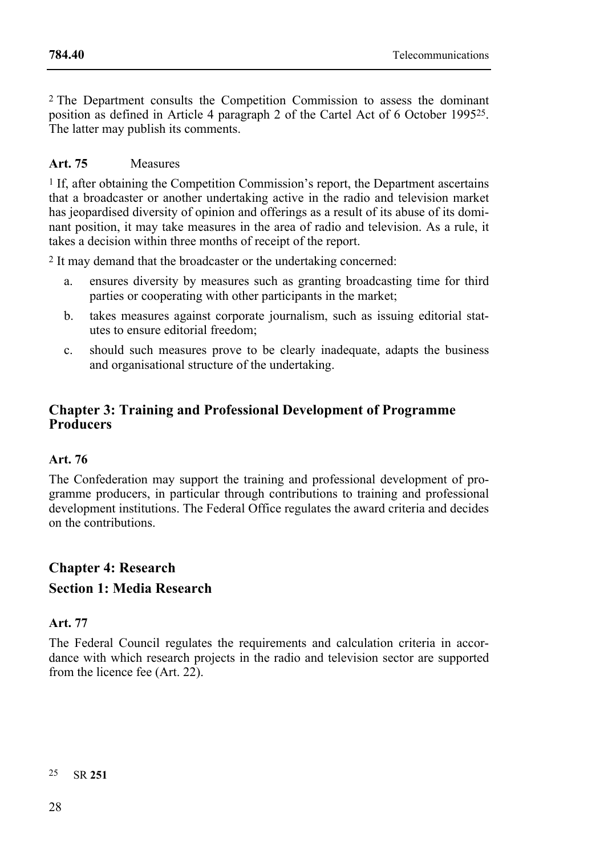2 The Department consults the Competition Commission to assess the dominant position as defined in Article 4 paragraph 2 of the Cartel Act of 6 October 199525. The latter may publish its comments.

# **Art. 75** Measures

 $<sup>1</sup>$  If, after obtaining the Competition Commission's report, the Department ascertains</sup> that a broadcaster or another undertaking active in the radio and television market has jeopardised diversity of opinion and offerings as a result of its abuse of its dominant position, it may take measures in the area of radio and television. As a rule, it takes a decision within three months of receipt of the report.

2 It may demand that the broadcaster or the undertaking concerned:

- a. ensures diversity by measures such as granting broadcasting time for third parties or cooperating with other participants in the market;
- b. takes measures against corporate journalism, such as issuing editorial statutes to ensure editorial freedom;
- c. should such measures prove to be clearly inadequate, adapts the business and organisational structure of the undertaking.

# **Chapter 3: Training and Professional Development of Programme Producers**

# **Art. 76**

The Confederation may support the training and professional development of programme producers, in particular through contributions to training and professional development institutions. The Federal Office regulates the award criteria and decides on the contributions.

# **Chapter 4: Research Section 1: Media Research**

#### **Art. 77**

The Federal Council regulates the requirements and calculation criteria in accordance with which research projects in the radio and television sector are supported from the licence fee (Art. 22).

25 25 SR **251**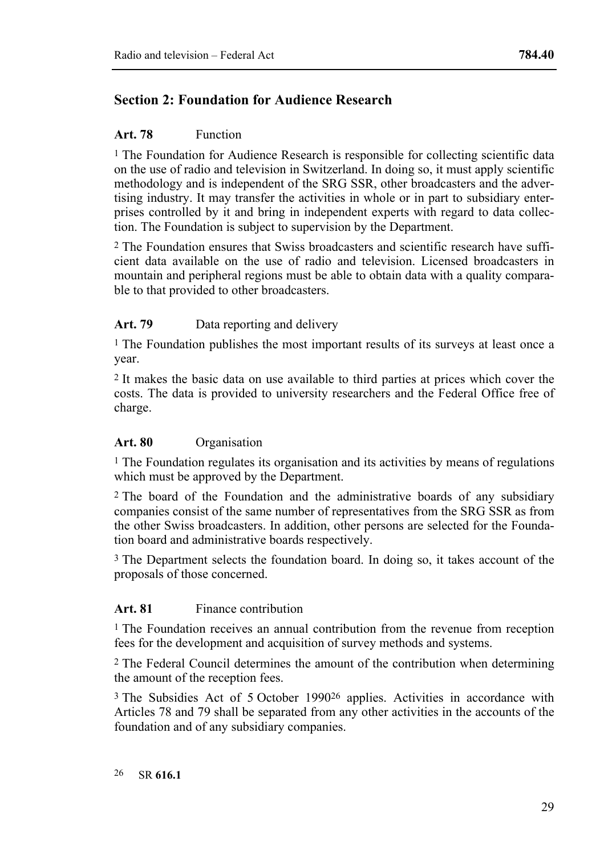# **Section 2: Foundation for Audience Research**

#### **Art. 78** Function

<sup>1</sup> The Foundation for Audience Research is responsible for collecting scientific data on the use of radio and television in Switzerland. In doing so, it must apply scientific methodology and is independent of the SRG SSR, other broadcasters and the advertising industry. It may transfer the activities in whole or in part to subsidiary enterprises controlled by it and bring in independent experts with regard to data collection. The Foundation is subject to supervision by the Department.

2 The Foundation ensures that Swiss broadcasters and scientific research have sufficient data available on the use of radio and television. Licensed broadcasters in mountain and peripheral regions must be able to obtain data with a quality comparable to that provided to other broadcasters.

#### Art. 79 **Data reporting and delivery**

1 The Foundation publishes the most important results of its surveys at least once a year.

2 It makes the basic data on use available to third parties at prices which cover the costs. The data is provided to university researchers and the Federal Office free of charge.

#### **Art. 80** Organisation

1 The Foundation regulates its organisation and its activities by means of regulations which must be approved by the Department.

2 The board of the Foundation and the administrative boards of any subsidiary companies consist of the same number of representatives from the SRG SSR as from the other Swiss broadcasters. In addition, other persons are selected for the Foundation board and administrative boards respectively.

3 The Department selects the foundation board. In doing so, it takes account of the proposals of those concerned.

#### **Art. 81** Finance contribution

1 The Foundation receives an annual contribution from the revenue from reception fees for the development and acquisition of survey methods and systems.

2 The Federal Council determines the amount of the contribution when determining the amount of the reception fees.

3 The Subsidies Act of 5 October 199026 applies. Activities in accordance with Articles 78 and 79 shall be separated from any other activities in the accounts of the foundation and of any subsidiary companies.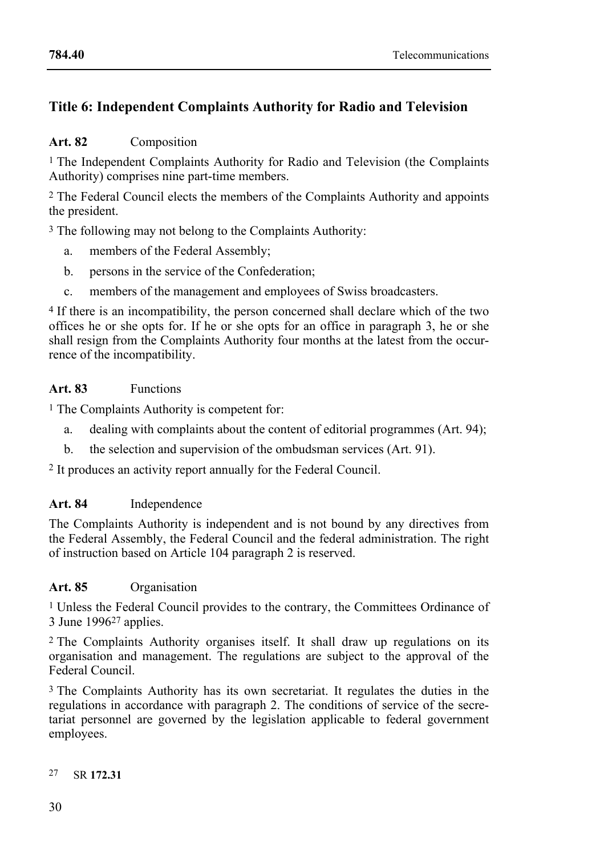# **Title 6: Independent Complaints Authority for Radio and Television**

# **Art. 82** Composition

<sup>1</sup> The Independent Complaints Authority for Radio and Television (the Complaints Authority) comprises nine part-time members.

2 The Federal Council elects the members of the Complaints Authority and appoints the president.

3 The following may not belong to the Complaints Authority:

- a. members of the Federal Assembly;
- b. persons in the service of the Confederation;
- c. members of the management and employees of Swiss broadcasters.

4 If there is an incompatibility, the person concerned shall declare which of the two offices he or she opts for. If he or she opts for an office in paragraph 3, he or she shall resign from the Complaints Authority four months at the latest from the occurrence of the incompatibility.

### **Art. 83** Functions

<sup>1</sup> The Complaints Authority is competent for:

- a. dealing with complaints about the content of editorial programmes (Art. 94);
- b. the selection and supervision of the ombudsman services (Art. 91).

2 It produces an activity report annually for the Federal Council.

#### **Art. 84** Independence

The Complaints Authority is independent and is not bound by any directives from the Federal Assembly, the Federal Council and the federal administration. The right of instruction based on Article 104 paragraph 2 is reserved.

#### **Art. 85** Organisation

1 Unless the Federal Council provides to the contrary, the Committees Ordinance of 3 June 199627 applies.

2 The Complaints Authority organises itself. It shall draw up regulations on its organisation and management. The regulations are subject to the approval of the Federal Council.

3 The Complaints Authority has its own secretariat. It regulates the duties in the regulations in accordance with paragraph 2. The conditions of service of the secretariat personnel are governed by the legislation applicable to federal government employees.

#### 27 SR **172.31**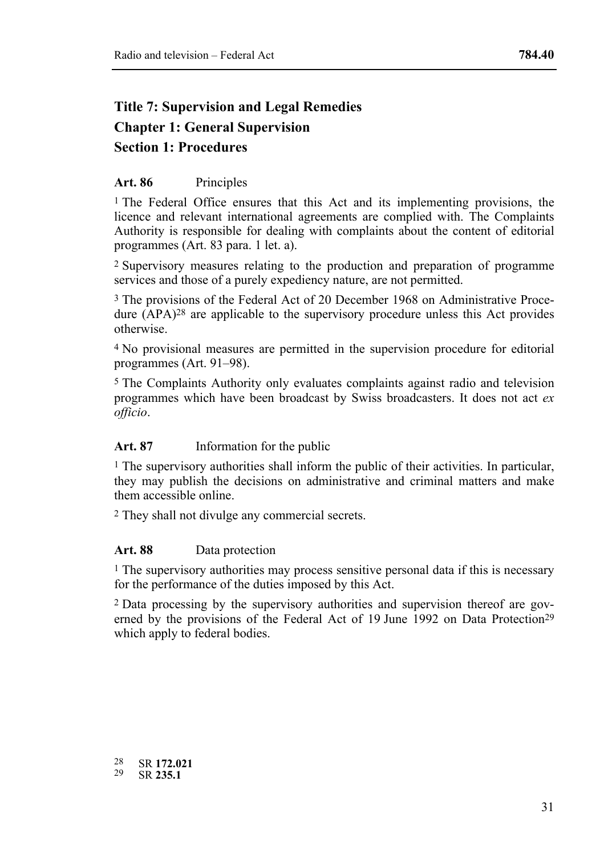# **Title 7: Supervision and Legal Remedies Chapter 1: General Supervision Section 1: Procedures**

### **Art. 86** Principles

1 The Federal Office ensures that this Act and its implementing provisions, the licence and relevant international agreements are complied with. The Complaints Authority is responsible for dealing with complaints about the content of editorial programmes (Art. 83 para. 1 let. a).

2 Supervisory measures relating to the production and preparation of programme services and those of a purely expediency nature, are not permitted.

3 The provisions of the Federal Act of 20 December 1968 on Administrative Procedure (APA)28 are applicable to the supervisory procedure unless this Act provides otherwise.

4 No provisional measures are permitted in the supervision procedure for editorial programmes (Art. 91–98).

5 The Complaints Authority only evaluates complaints against radio and television programmes which have been broadcast by Swiss broadcasters. It does not act *ex officio*.

#### **Art. 87** Information for the public

1 The supervisory authorities shall inform the public of their activities. In particular, they may publish the decisions on administrative and criminal matters and make them accessible online.

2 They shall not divulge any commercial secrets.

#### Art. 88 Data protection

 $<sup>1</sup>$  The supervisory authorities may process sensitive personal data if this is necessary</sup> for the performance of the duties imposed by this Act.

2 Data processing by the supervisory authorities and supervision thereof are governed by the provisions of the Federal Act of 19 June 1992 on Data Protection<sup>29</sup> which apply to federal bodies.

 $28$ 28 SR **172.021** 29 SR **235.1**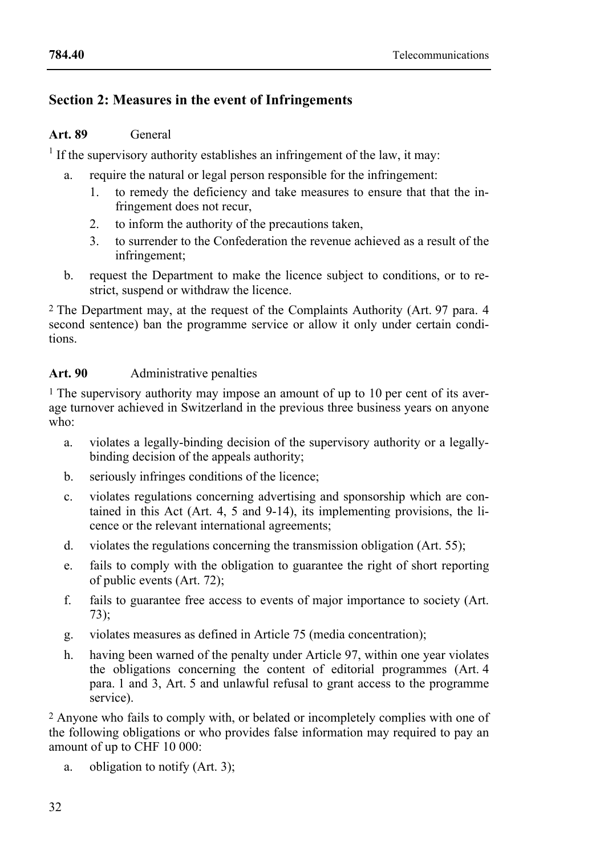# **Section 2: Measures in the event of Infringements**

# **Art. 89** General

 $<sup>1</sup>$  If the supervisory authority establishes an infringement of the law, it may:</sup>

- a. require the natural or legal person responsible for the infringement:
	- 1. to remedy the deficiency and take measures to ensure that that the infringement does not recur,
	- 2. to inform the authority of the precautions taken,
	- 3. to surrender to the Confederation the revenue achieved as a result of the infringement;
- b. request the Department to make the licence subject to conditions, or to restrict, suspend or withdraw the licence.

2 The Department may, at the request of the Complaints Authority (Art. 97 para. 4 second sentence) ban the programme service or allow it only under certain conditions.

# **Art. 90** Administrative penalties

1 The supervisory authority may impose an amount of up to 10 per cent of its average turnover achieved in Switzerland in the previous three business years on anyone who:

- a. violates a legally-binding decision of the supervisory authority or a legallybinding decision of the appeals authority;
- b. seriously infringes conditions of the licence;
- c. violates regulations concerning advertising and sponsorship which are contained in this Act (Art. 4, 5 and 9-14), its implementing provisions, the licence or the relevant international agreements;
- d. violates the regulations concerning the transmission obligation (Art. 55);
- e. fails to comply with the obligation to guarantee the right of short reporting of public events (Art. 72);
- f. fails to guarantee free access to events of major importance to society (Art. 73);
- g. violates measures as defined in Article 75 (media concentration);
- h. having been warned of the penalty under Article 97, within one year violates the obligations concerning the content of editorial programmes (Art. 4 para. 1 and 3, Art. 5 and unlawful refusal to grant access to the programme service).

2 Anyone who fails to comply with, or belated or incompletely complies with one of the following obligations or who provides false information may required to pay an amount of up to CHF 10 000:

a. obligation to notify (Art. 3);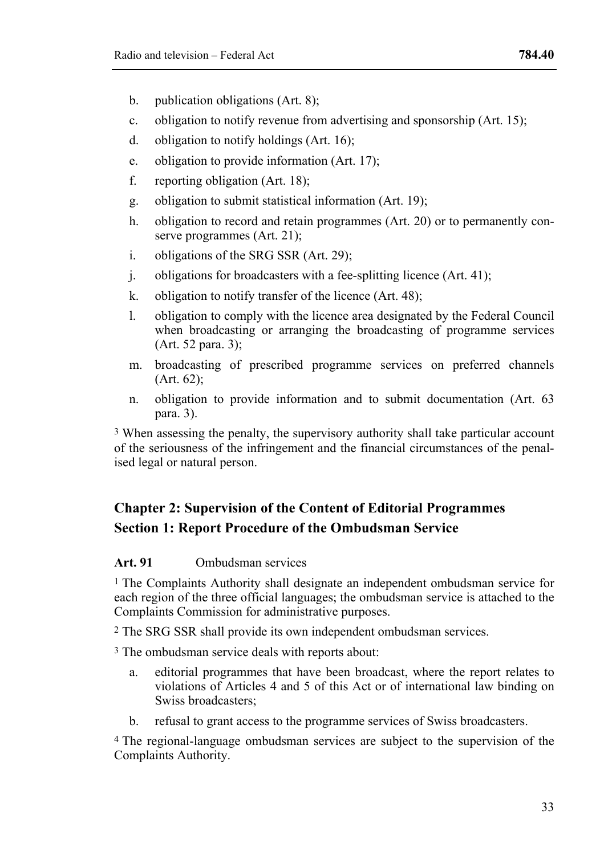- b. publication obligations (Art. 8);
- c. obligation to notify revenue from advertising and sponsorship (Art. 15);
- d. obligation to notify holdings (Art. 16);
- e. obligation to provide information (Art. 17);
- f. reporting obligation (Art. 18);
- g. obligation to submit statistical information (Art. 19);
- h. obligation to record and retain programmes (Art. 20) or to permanently conserve programmes (Art. 21):
- i. obligations of the SRG SSR (Art. 29);
- j. obligations for broadcasters with a fee-splitting licence (Art. 41);
- k. obligation to notify transfer of the licence (Art. 48);
- l. obligation to comply with the licence area designated by the Federal Council when broadcasting or arranging the broadcasting of programme services (Art. 52 para. 3);
- m. broadcasting of prescribed programme services on preferred channels  $(Art. 62)$ ;
- n. obligation to provide information and to submit documentation (Art. 63 para. 3).

3 When assessing the penalty, the supervisory authority shall take particular account of the seriousness of the infringement and the financial circumstances of the penalised legal or natural person.

# **Chapter 2: Supervision of the Content of Editorial Programmes Section 1: Report Procedure of the Ombudsman Service**

#### **Art. 91** Ombudsman services

<sup>1</sup> The Complaints Authority shall designate an independent ombudsman service for each region of the three official languages; the ombudsman service is attached to the Complaints Commission for administrative purposes.

2 The SRG SSR shall provide its own independent ombudsman services.

3 The ombudsman service deals with reports about:

- a. editorial programmes that have been broadcast, where the report relates to violations of Articles 4 and 5 of this Act or of international law binding on Swiss broadcasters;
- b. refusal to grant access to the programme services of Swiss broadcasters.

4 The regional-language ombudsman services are subject to the supervision of the Complaints Authority.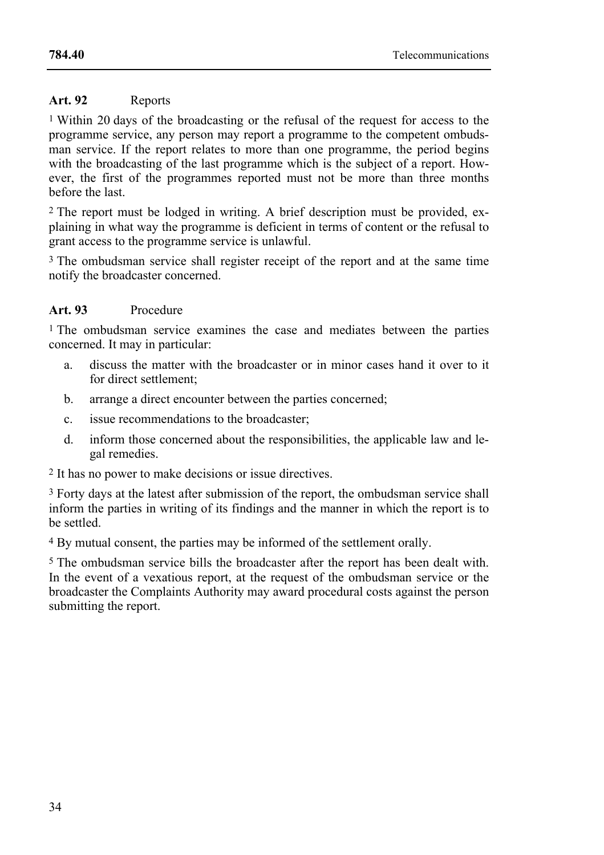# **Art. 92** Reports

1 Within 20 days of the broadcasting or the refusal of the request for access to the programme service, any person may report a programme to the competent ombudsman service. If the report relates to more than one programme, the period begins with the broadcasting of the last programme which is the subject of a report. However, the first of the programmes reported must not be more than three months before the last.

2 The report must be lodged in writing. A brief description must be provided, explaining in what way the programme is deficient in terms of content or the refusal to grant access to the programme service is unlawful.

<sup>3</sup> The ombudsman service shall register receipt of the report and at the same time notify the broadcaster concerned.

# **Art. 93** Procedure

1 The ombudsman service examines the case and mediates between the parties concerned. It may in particular:

- a. discuss the matter with the broadcaster or in minor cases hand it over to it for direct settlement;
- b. arrange a direct encounter between the parties concerned;
- c. issue recommendations to the broadcaster;
- d. inform those concerned about the responsibilities, the applicable law and legal remedies.

2 It has no power to make decisions or issue directives.

3 Forty days at the latest after submission of the report, the ombudsman service shall inform the parties in writing of its findings and the manner in which the report is to be settled.

4 By mutual consent, the parties may be informed of the settlement orally.

5 The ombudsman service bills the broadcaster after the report has been dealt with. In the event of a vexatious report, at the request of the ombudsman service or the broadcaster the Complaints Authority may award procedural costs against the person submitting the report.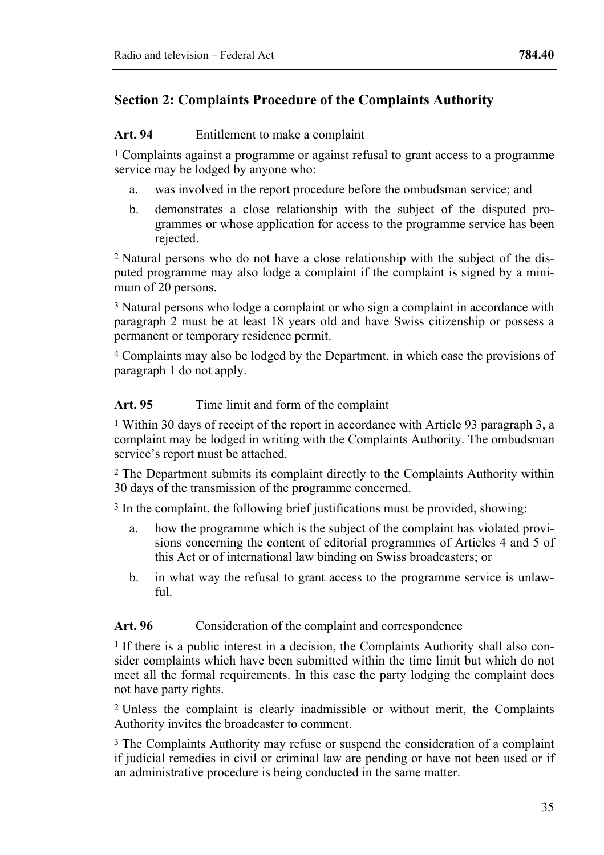# **Section 2: Complaints Procedure of the Complaints Authority**

#### **Art. 94** Entitlement to make a complaint

1 Complaints against a programme or against refusal to grant access to a programme service may be lodged by anyone who:

- a. was involved in the report procedure before the ombudsman service; and
- b. demonstrates a close relationship with the subject of the disputed programmes or whose application for access to the programme service has been rejected.

2 Natural persons who do not have a close relationship with the subject of the disputed programme may also lodge a complaint if the complaint is signed by a minimum of  $20$  persons.

3 Natural persons who lodge a complaint or who sign a complaint in accordance with paragraph 2 must be at least 18 years old and have Swiss citizenship or possess a permanent or temporary residence permit.

4 Complaints may also be lodged by the Department, in which case the provisions of paragraph 1 do not apply.

#### Art. 95 Time limit and form of the complaint

1 Within 30 days of receipt of the report in accordance with Article 93 paragraph 3, a complaint may be lodged in writing with the Complaints Authority. The ombudsman service's report must be attached.

2 The Department submits its complaint directly to the Complaints Authority within 30 days of the transmission of the programme concerned.

3 In the complaint, the following brief justifications must be provided, showing:

- a. how the programme which is the subject of the complaint has violated provisions concerning the content of editorial programmes of Articles 4 and 5 of this Act or of international law binding on Swiss broadcasters; or
- b. in what way the refusal to grant access to the programme service is unlaw $f_{11}$

#### Art. 96 Consideration of the complaint and correspondence

<sup>1</sup> If there is a public interest in a decision, the Complaints Authority shall also consider complaints which have been submitted within the time limit but which do not meet all the formal requirements. In this case the party lodging the complaint does not have party rights.

2 Unless the complaint is clearly inadmissible or without merit, the Complaints Authority invites the broadcaster to comment.

3 The Complaints Authority may refuse or suspend the consideration of a complaint if judicial remedies in civil or criminal law are pending or have not been used or if an administrative procedure is being conducted in the same matter.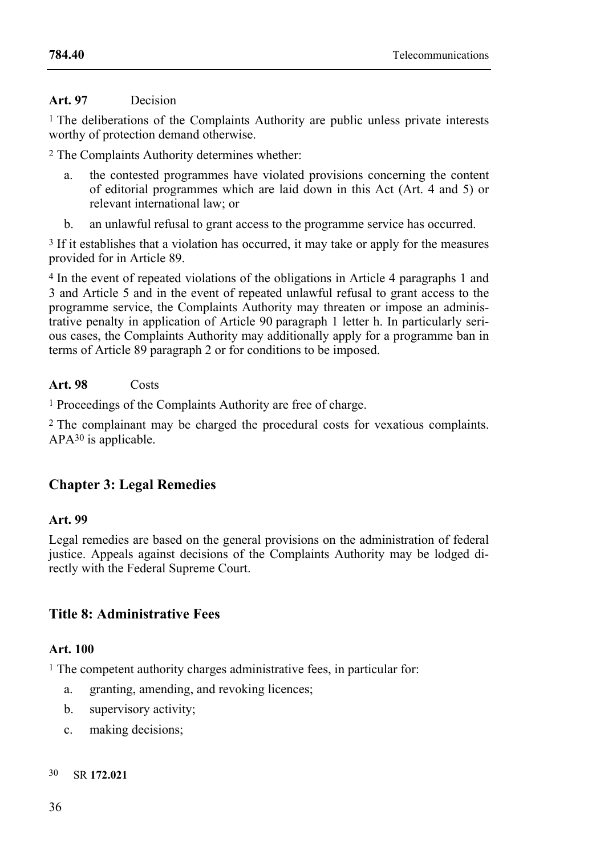### **Art. 97** Decision

1 The deliberations of the Complaints Authority are public unless private interests worthy of protection demand otherwise.

2 The Complaints Authority determines whether:

- a. the contested programmes have violated provisions concerning the content of editorial programmes which are laid down in this Act (Art. 4 and 5) or relevant international law; or
- b. an unlawful refusal to grant access to the programme service has occurred.

<sup>3</sup> If it establishes that a violation has occurred, it may take or apply for the measures provided for in Article 89.

4 In the event of repeated violations of the obligations in Article 4 paragraphs 1 and 3 and Article 5 and in the event of repeated unlawful refusal to grant access to the programme service, the Complaints Authority may threaten or impose an administrative penalty in application of Article 90 paragraph 1 letter h. In particularly serious cases, the Complaints Authority may additionally apply for a programme ban in terms of Article 89 paragraph 2 or for conditions to be imposed.

# **Art. 98** Costs

1 Proceedings of the Complaints Authority are free of charge.

2 The complainant may be charged the procedural costs for vexatious complaints. APA30 is applicable.

# **Chapter 3: Legal Remedies**

#### **Art. 99**

Legal remedies are based on the general provisions on the administration of federal justice. Appeals against decisions of the Complaints Authority may be lodged directly with the Federal Supreme Court.

# **Title 8: Administrative Fees**

# **Art. 100**

<sup>1</sup> The competent authority charges administrative fees, in particular for:

- a. granting, amending, and revoking licences;
- b. supervisory activity;
- c. making decisions;

#### 30 SR **172.021**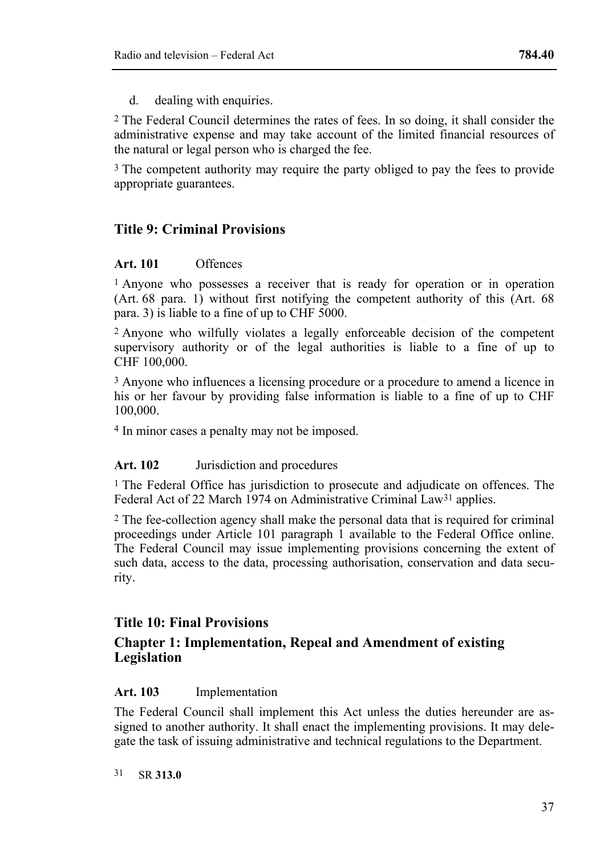d. dealing with enquiries.

2 The Federal Council determines the rates of fees. In so doing, it shall consider the administrative expense and may take account of the limited financial resources of the natural or legal person who is charged the fee.

3 The competent authority may require the party obliged to pay the fees to provide appropriate guarantees.

# **Title 9: Criminal Provisions**

#### **Art. 101** Offences

1 Anyone who possesses a receiver that is ready for operation or in operation (Art. 68 para. 1) without first notifying the competent authority of this (Art. 68 para. 3) is liable to a fine of up to CHF 5000.

2 Anyone who wilfully violates a legally enforceable decision of the competent supervisory authority or of the legal authorities is liable to a fine of up to CHF 100,000.

3 Anyone who influences a licensing procedure or a procedure to amend a licence in his or her favour by providing false information is liable to a fine of up to CHF 100,000.

4 In minor cases a penalty may not be imposed.

#### **Art. 102** Jurisdiction and procedures

1 The Federal Office has jurisdiction to prosecute and adjudicate on offences. The Federal Act of 22 March 1974 on Administrative Criminal Law<sup>31</sup> applies.

2 The fee-collection agency shall make the personal data that is required for criminal proceedings under Article 101 paragraph 1 available to the Federal Office online. The Federal Council may issue implementing provisions concerning the extent of such data, access to the data, processing authorisation, conservation and data security.

# **Title 10: Final Provisions**

# **Chapter 1: Implementation, Repeal and Amendment of existing Legislation**

#### **Art. 103** Implementation

The Federal Council shall implement this Act unless the duties hereunder are assigned to another authority. It shall enact the implementing provisions. It may delegate the task of issuing administrative and technical regulations to the Department.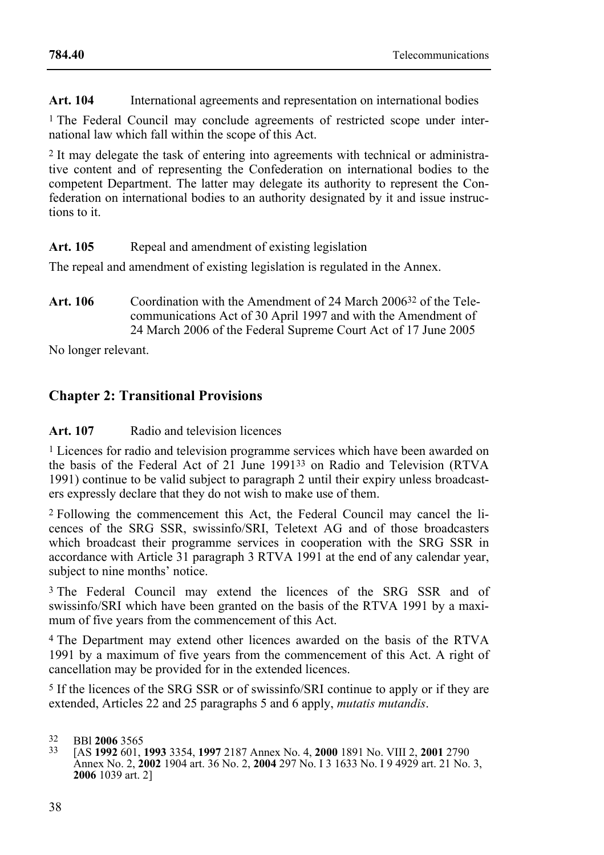**Art. 104** International agreements and representation on international bodies

1 The Federal Council may conclude agreements of restricted scope under international law which fall within the scope of this Act.

2 It may delegate the task of entering into agreements with technical or administrative content and of representing the Confederation on international bodies to the competent Department. The latter may delegate its authority to represent the Confederation on international bodies to an authority designated by it and issue instructions to it.

#### Art. 105 Repeal and amendment of existing legislation

The repeal and amendment of existing legislation is regulated in the Annex.

**Art. 106** Coordination with the Amendment of 24 March 200632 of the Telecommunications Act of 30 April 1997 and with the Amendment of 24 March 2006 of the Federal Supreme Court Act of 17 June 2005

No longer relevant.

# **Chapter 2: Transitional Provisions**

#### **Art. 107** Radio and television licences

1 Licences for radio and television programme services which have been awarded on the basis of the Federal Act of 21 June 199133 on Radio and Television (RTVA 1991) continue to be valid subject to paragraph 2 until their expiry unless broadcasters expressly declare that they do not wish to make use of them.

2 Following the commencement this Act, the Federal Council may cancel the licences of the SRG SSR, swissinfo/SRI, Teletext AG and of those broadcasters which broadcast their programme services in cooperation with the SRG SSR in accordance with Article 31 paragraph 3 RTVA 1991 at the end of any calendar year, subject to nine months' notice.

<sup>3</sup> The Federal Council may extend the licences of the SRG SSR and of swissinfo/SRI which have been granted on the basis of the RTVA 1991 by a maximum of five years from the commencement of this Act.

4 The Department may extend other licences awarded on the basis of the RTVA 1991 by a maximum of five years from the commencement of this Act. A right of cancellation may be provided for in the extended licences.

5 If the licences of the SRG SSR or of swissinfo/SRI continue to apply or if they are extended, Articles 22 and 25 paragraphs 5 and 6 apply, *mutatis mutandis*.

<sup>32</sup> BBl **2006** 3565 33 [AS **1992** 601, **1993** 3354, **1997** 2187 Annex No. 4, **2000** 1891 No. VIII 2, **2001** <sup>2790</sup> Annex No. 2, **2002** 1904 art. 36 No. 2, **2004** 297 No. I 3 1633 No. I 9 4929 art. 21 No. 3, **2006** 1039 art. 2]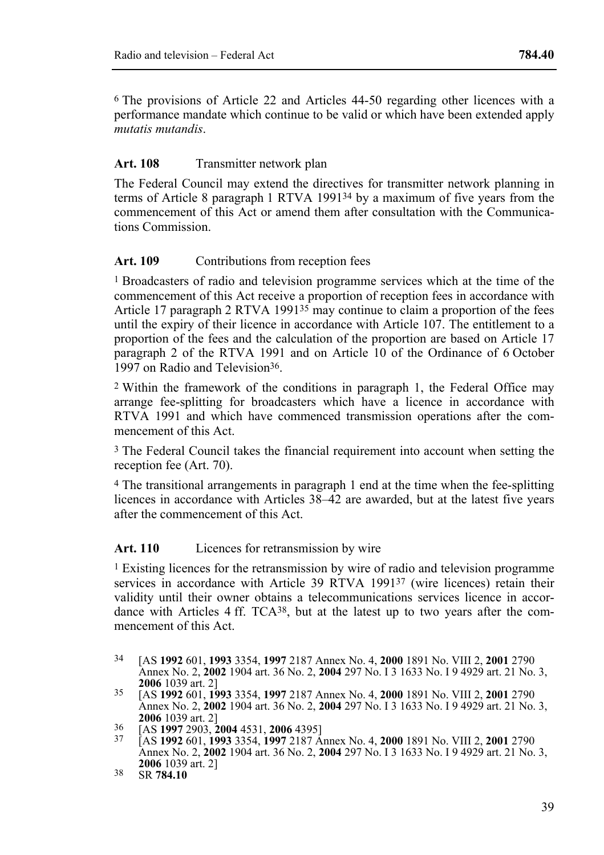6 The provisions of Article 22 and Articles 44-50 regarding other licences with a performance mandate which continue to be valid or which have been extended apply *mutatis mutandis*.

#### Art. 108 Transmitter network plan

The Federal Council may extend the directives for transmitter network planning in terms of Article 8 paragraph 1 RTVA 199134 by a maximum of five years from the commencement of this Act or amend them after consultation with the Communications Commission.

### Art. 109 Contributions from reception fees

1 Broadcasters of radio and television programme services which at the time of the commencement of this Act receive a proportion of reception fees in accordance with Article 17 paragraph 2 RTVA 1991<sup>35</sup> may continue to claim a proportion of the fees until the expiry of their licence in accordance with Article 107. The entitlement to a proportion of the fees and the calculation of the proportion are based on Article 17 paragraph 2 of the RTVA 1991 and on Article 10 of the Ordinance of 6 October 1997 on Radio and Television36.

2 Within the framework of the conditions in paragraph 1, the Federal Office may arrange fee-splitting for broadcasters which have a licence in accordance with RTVA 1991 and which have commenced transmission operations after the commencement of this Act.

3 The Federal Council takes the financial requirement into account when setting the reception fee (Art. 70).

4 The transitional arrangements in paragraph 1 end at the time when the fee-splitting licences in accordance with Articles 38–42 are awarded, but at the latest five years after the commencement of this Act.

#### Art. 110 Licences for retransmission by wire

1 Existing licences for the retransmission by wire of radio and television programme services in accordance with Article 39 RTVA 1991<sup>37</sup> (wire licences) retain their validity until their owner obtains a telecommunications services licence in accordance with Articles 4 ff. TCA38, but at the latest up to two years after the commencement of this Act.

 $34$ 34 [AS **1992** 601, **1993** 3354, **1997** 2187 Annex No. 4, **2000** 1891 No. VIII 2, **2001** 2790 Annex No. 2, **2002** 1904 art. 36 No. 2, **2004** 297 No. I 3 1633 No. I 9 4929 art. 21 No. 3,

**<sup>2006</sup>** 1039 art. 2] 35 [AS **1992** 601, **1993** 3354, **1997** 2187 Annex No. 4, **2000** 1891 No. VIII 2, **2001** <sup>2790</sup> Annex No. 2, **2002** 1904 art. 36 No. 2, **2004** 297 No. I 3 1633 No. I 9 4929 art. 21 No. 3,

**<sup>2006</sup>** 1039 art. 2] 36 [AS **1997** 2903, **2004** 4531, **2006** 4395] 37 [AS **1992** 601, **1993** 3354, **1997** 2187 Annex No. 4, **2000** 1891 No. VIII 2, **2001** <sup>2790</sup> Annex No. 2, **2002** 1904 art. 36 No. 2, **2004** 297 No. I 3 1633 No. I 9 4929 art. 21 No. 3, **<sup>2006</sup>** 1039 art. 2] 38 SR **784.10**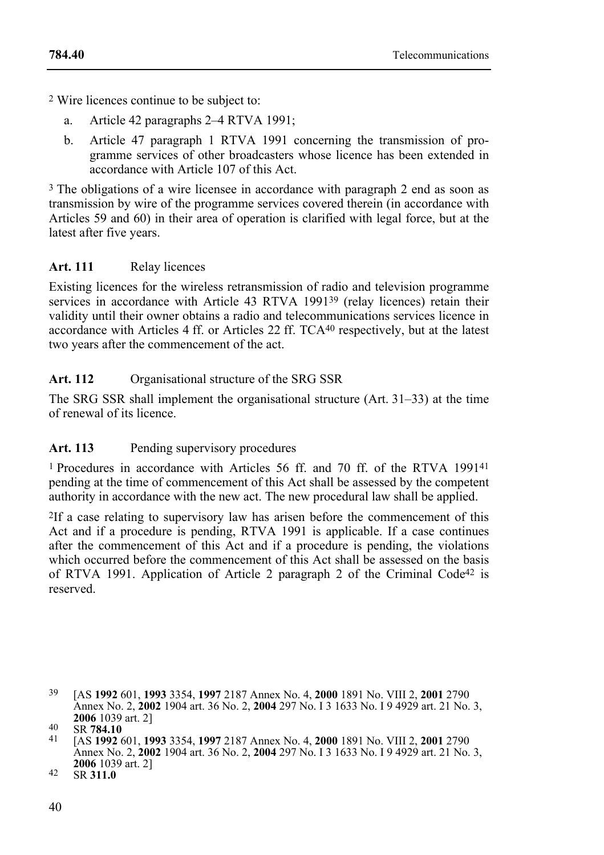2 Wire licences continue to be subject to:

- a. Article 42 paragraphs 2–4 RTVA 1991;
- b. Article 47 paragraph 1 RTVA 1991 concerning the transmission of programme services of other broadcasters whose licence has been extended in accordance with Article 107 of this Act.

3 The obligations of a wire licensee in accordance with paragraph 2 end as soon as transmission by wire of the programme services covered therein (in accordance with Articles 59 and 60) in their area of operation is clarified with legal force, but at the latest after five years.

# **Art. 111** Relay licences

Existing licences for the wireless retransmission of radio and television programme services in accordance with Article 43 RTVA 1991<sup>39</sup> (relay licences) retain their validity until their owner obtains a radio and telecommunications services licence in accordance with Articles 4 ff. or Articles 22 ff. TCA40 respectively, but at the latest two years after the commencement of the act.

# **Art. 112** Organisational structure of the SRG SSR

The SRG SSR shall implement the organisational structure (Art. 31–33) at the time of renewal of its licence.

# Art. 113 Pending supervisory procedures

1 Procedures in accordance with Articles 56 ff. and 70 ff. of the RTVA 199141 pending at the time of commencement of this Act shall be assessed by the competent authority in accordance with the new act. The new procedural law shall be applied.

2If a case relating to supervisory law has arisen before the commencement of this Act and if a procedure is pending, RTVA 1991 is applicable. If a case continues after the commencement of this Act and if a procedure is pending, the violations which occurred before the commencement of this Act shall be assessed on the basis of RTVA 1991. Application of Article 2 paragraph 2 of the Criminal Code<sup>42</sup> is reserved.

<sup>39</sup> 39 [AS **1992** 601, **1993** 3354, **1997** 2187 Annex No. 4, **2000** 1891 No. VIII 2, **2001** 2790 Annex No. 2, **2002** 1904 art. 36 No. 2, **2004** 297 No. I 3 1633 No. I 9 4929 art. 21 No. 3,

**<sup>2006</sup>** 1039 art. 2] 40 SR **784.10** 41 [AS **1992** 601, **1993** 3354, **1997** 2187 Annex No. 4, **2000** 1891 No. VIII 2, **2001** <sup>2790</sup> Annex No. 2, **2002** 1904 art. 36 No. 2, **2004** 297 No. I 3 1633 No. I 9 4929 art. 21 No. 3, **<sup>2006</sup>** 1039 art. 2] 42 SR **311.0**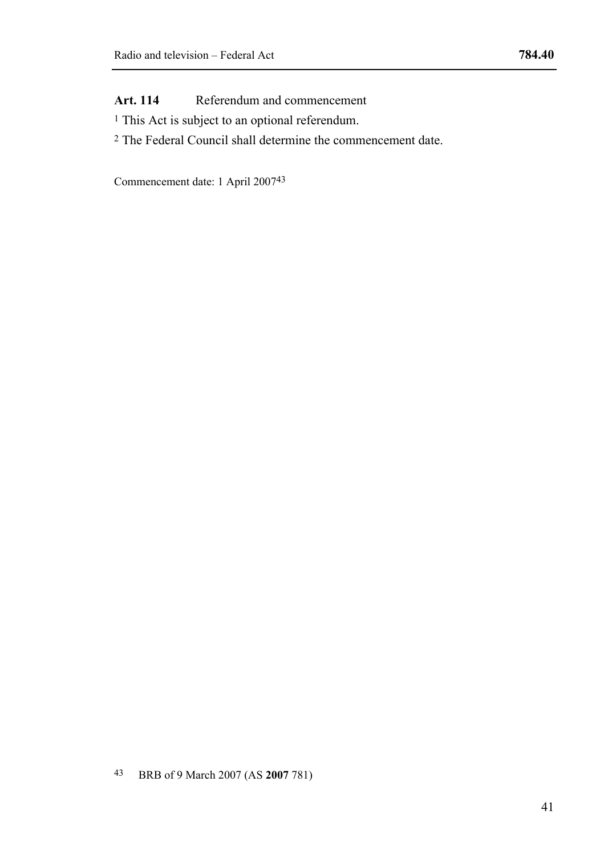**Art. 114** Referendum and commencement

- 1 This Act is subject to an optional referendum.
- 2 The Federal Council shall determine the commencement date.

Commencement date: 1 April 200743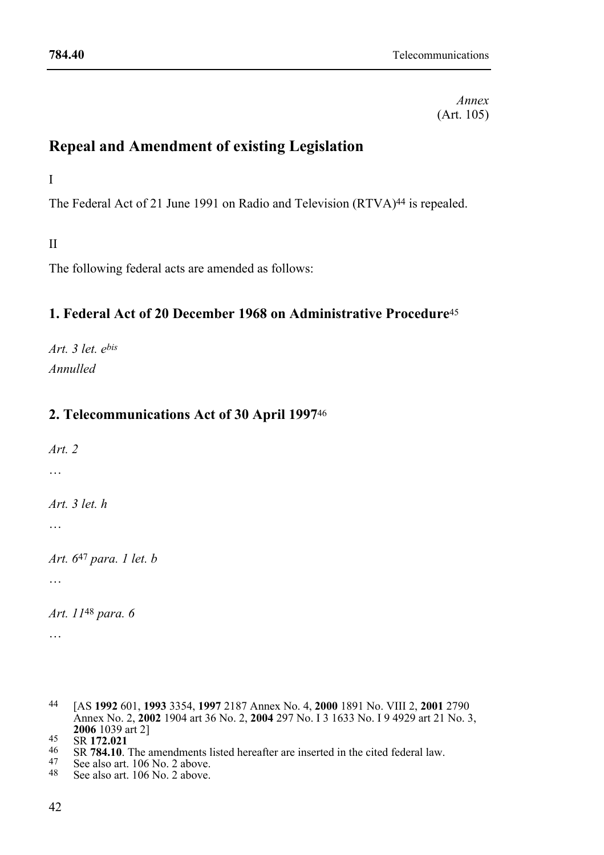*Annex*  (Art. 105)

# **Repeal and Amendment of existing Legislation**

I

The Federal Act of 21 June 1991 on Radio and Television (RTVA)<sup>44</sup> is repealed.

II

The following federal acts are amended as follows:

# **1. Federal Act of 20 December 1968 on Administrative Procedure**<sup>45</sup>

*Art. 3 let. ebis Annulled* 

# **2. Telecommunications Act of 30 April 1997**<sup>46</sup>

*Art. 2*  … *Art. 3 let. h*  … *Art. 6*47 *para. 1 let. b*  … *Art. 11*48 *para. 6*  …

- 
- 
- 

<sup>44 [</sup>AS **1992** 601, **1993** 3354, **1997** 2187 Annex No. 4, **2000** 1891 No. VIII 2, **2001** 2790 Annex No. 2, **2002** 1904 art 36 No. 2, **2004** 297 No. I 3 1633 No. I 9 4929 art 21 No. 3, **2006** 1039 art 2]<br>
45 SR **172.021**<br>
46 SR **784.10**. The amendments listed hereafter are inserted in the cited federal law.<br>
47 See also art. 106 No. 2 above.<br>
48 See also art. 106 No. 2 above.